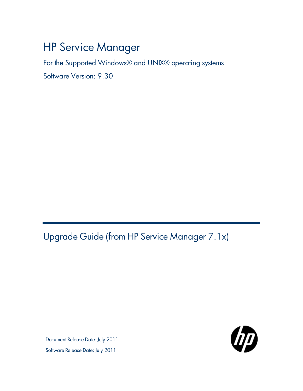# HP Service Manager

For the Supported Windows® and UNIX® operating systems

Software Version: 9.30

<span id="page-0-0"></span>Upgrade Guide (from HP Service Manager 7.1x)

Document Release Date: July 2011 Software Release Date: July 2011

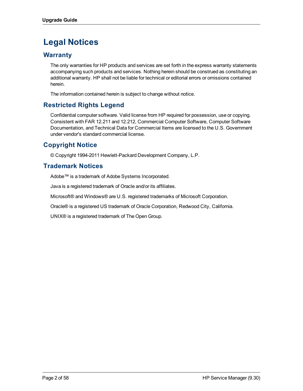# **Legal Notices**

### **Warranty**

The only warranties for HP products and services are set forth in the express warranty statements accompanying such products and services. Nothing herein should be construed as constituting an additional warranty. HP shall not be liable for technical or editorial errors or omissions contained herein.

The information contained herein is subject to change without notice.

### **Restricted Rights Legend**

Confidential computer software. Valid license from HP required for possession, use or copying. Consistent with FAR 12.211 and 12.212, Commercial Computer Software, Computer Software Documentation, and Technical Data for Commercial Items are licensed to the U.S. Government under vendor's standard commercial license.

### **Copyright Notice**

© Copyright 1994-2011 Hewlett-Packard Development Company, L.P.

### **Trademark Notices**

Adobe™ is a trademark of Adobe Systems Incorporated.

Java is a registered trademark of Oracle and/or its affiliates.

Microsoft® and Windows® are U.S. registered trademarks of Microsoft Corporation.

Oracle® is a registered US trademark of Oracle Corporation, Redwood City, California.

UNIX® is a registered trademark of The Open Group.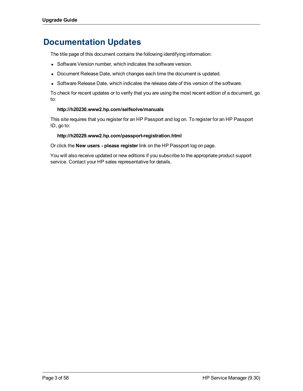# **Documentation Updates**

The title page of this document contains the following identifying information:

- Software Version number, which indicates the software version.
- Document Release Date, which changes each time the document is updated.
- Software Release Date, which indicates the release date of this version of the software.

To check for recent updates or to verify that you are using the most recent edition of a document, go to:

#### **http://h20230.www2.hp.com/selfsolve/manuals**

This site requires that you register for an HP Passport and log on. To register for an HP Passport ID, go to:

#### **http://h20229.www2.hp.com/passport-registration.html**

Or click the **New users - please register** link on the HP Passport log on page.

You will also receive updated or new editions if you subscribe to the appropriate product support service. Contact your HP sales representative for details.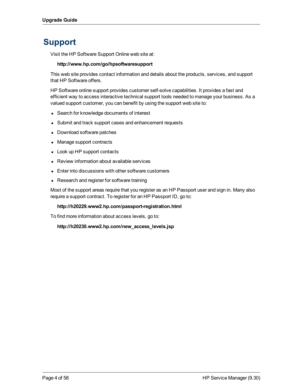# **Support**

Visit the HP Software Support Online web site at:

#### **http://www.hp.com/go/hpsoftwaresupport**

This web site provides contact information and details about the products, services, and support that HP Software offers.

HP Software online support provides customer self-solve capabilities. It provides a fast and efficient way to access interactive technical support tools needed to manage your business. As a valued support customer, you can benefit by using the support web site to:

- Search for knowledge documents of interest
- Submit and track support cases and enhancement requests
- Download software patches
- Manage support contracts
- Look up HP support contacts
- Review information about available services
- Enter into discussions with other software customers
- Research and register for software training

Most of the support areas require that you register as an HP Passport user and sign in. Many also require a support contract. To register for an HP Passport ID, go to:

#### **http://h20229.www2.hp.com/passport-registration.html**

To find more information about access levels, go to:

**http://h20230.www2.hp.com/new\_access\_levels.jsp**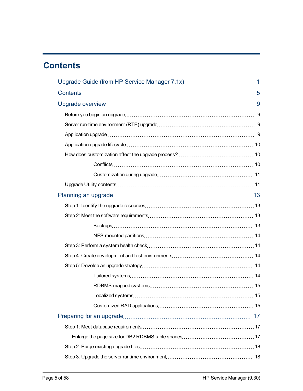# <span id="page-4-0"></span>**Contents**

| Localized systems. | 15 |  |
|--------------------|----|--|
|                    |    |  |
|                    |    |  |
|                    |    |  |
|                    |    |  |
|                    |    |  |
|                    |    |  |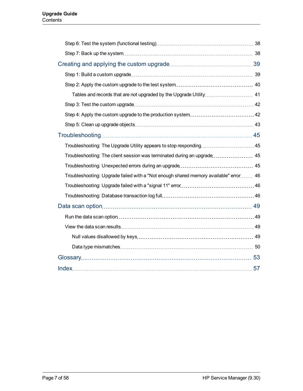| Troubleshooting: The client session was terminated during an upgrade 45              |  |
|--------------------------------------------------------------------------------------|--|
|                                                                                      |  |
| Troubleshooting: Upgrade failed with a "Not enough shared memory available" error 46 |  |
|                                                                                      |  |
|                                                                                      |  |
|                                                                                      |  |
|                                                                                      |  |
|                                                                                      |  |
|                                                                                      |  |
|                                                                                      |  |
|                                                                                      |  |
|                                                                                      |  |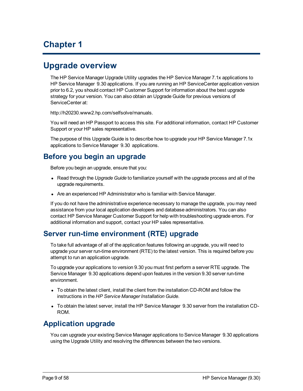# **Chapter 1**

# <span id="page-8-0"></span>**Upgrade overview**

The HP Service Manager Upgrade Utility upgrades the HP Service Manager 7.1x applications to HP Service Manager 9.30 applications. If you are running an HP ServiceCenter application version prior to 6.2, you should contact HP Customer Support for information about the best upgrade strategy for your version. You can also obtain an Upgrade Guide for previous versions of ServiceCenter at:

http://h20230.www2.hp.com/selfsolve/manuals.

You will need an HP Passport to access this site. For additional information, contact HP Customer Support or your HP sales representative.

The purpose of this Upgrade Guide is to describe how to upgrade your HP Service Manager 7.1x applications to Service Manager 9.30 applications.

## <span id="page-8-1"></span>**Before you begin an upgrade**

Before you begin an upgrade, ensure that you:

- Read through the *Upgrade Guide* to familiarize yourself with the upgrade process and all of the upgrade requirements.
- Are an experienced HP Administrator who is familiar with Service Manager.

If you do not have the administrative experience necessary to manage the upgrade, you may need assistance from your local application developers and database administrators. You can also contact HP Service Manager Customer Support for help with troubleshooting upgrade errors. For additional information and support, contact your HP sales representative.

## <span id="page-8-2"></span>**Server run-time environment (RTE) upgrade**

To take full advantage of all of the application features following an upgrade, you will need to upgrade your server run-time environment (RTE) to the latest version. This is required before you attempt to run an application upgrade.

To upgrade your applications to version 9.30 you must first perform a server RTE upgrade. The Service Manager 9.30 applications depend upon features in the version 9.30 server run-time environment.

- To obtain the latest client, install the client from the installation CD-ROM and follow the instructions in the *HP Service Manager Installation Guide*.
- To obtain the latest server, install the HP Service Manager 9.30 server from the installation CD-ROM.

## <span id="page-8-3"></span>**Application upgrade**

You can upgrade your existing Service Manager applications to Service Manager 9.30 applications using the Upgrade Utility and resolving the differences between the two versions.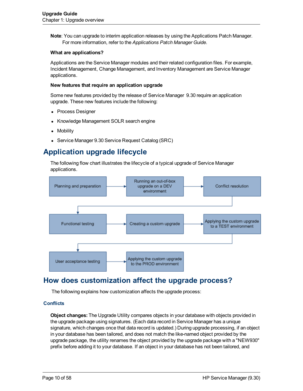**Note**: You can upgrade to interim application releases by using the Applications Patch Manager. For more information, refer to the *Applications Patch Manager Guide*.

#### **What are applications?**

Applications are the Service Manager modules and their related configuration files. For example, Incident Management, Change Management, and Inventory Management are Service Manager applications.

#### **New features that require an application upgrade**

Some new features provided by the release of Service Manager 9.30 require an application upgrade. These new features include the following:

- Process Designer
- <sup>l</sup> Knowledge Management SOLR search engine
- **Mobility**
- <span id="page-9-0"></span>**Service Manager 9.30 Service Request Catalog (SRC)**

# **Application upgrade lifecycle**

The following flow chart illustrates the lifecycle of a typical upgrade of Service Manager applications.



## <span id="page-9-1"></span>**How does customization affect the upgrade process?**

The following explains how customization affects the upgrade process:

#### <span id="page-9-2"></span>**Conflicts**

**Object changes:** The Upgrade Utility compares objects in your database with objects provided in the upgrade package using signatures. (Each data record in Service Manager has a unique signature, which changes once that data record is updated.) During upgrade processing, if an object in your database has been tailored, and does not match the like-named object provided by the upgrade package, the utility renames the object provided by the upgrade package with a "NEW930" prefix before adding it to your database. If an object in your database has not been tailored, and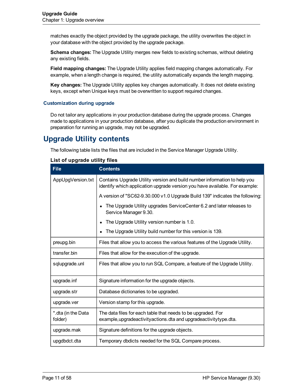matches exactly the object provided by the upgrade package, the utility overwrites the object in your database with the object provided by the upgrade package.

**Schema changes:** The Upgrade Utility merges new fields to existing schemas, without deleting any existing fields.

**Field mapping changes:** The Upgrade Utility applies field mapping changes automatically. For example, when a length change is required, the utility automatically expands the length mapping.

**Key changes:** The Upgrade Utility applies key changes automatically. It does not delete existing keys, except when Unique keys must be overwritten to support required changes.

#### <span id="page-10-0"></span>**Customization during upgrade**

Do not tailor any applications in your production database during the upgrade process. Changes made to applications in your production database, after you duplicate the production environment in preparation for running an upgrade, may not be upgraded.

## <span id="page-10-1"></span>**Upgrade Utility contents**

The following table lists the files that are included in the Service Manager Upgrade Utility.

<span id="page-10-7"></span><span id="page-10-6"></span><span id="page-10-5"></span><span id="page-10-4"></span><span id="page-10-3"></span><span id="page-10-2"></span>

| <b>File</b>                   | <b>Contents</b>                                                                                                                                          |
|-------------------------------|----------------------------------------------------------------------------------------------------------------------------------------------------------|
| AppUpgVersion.txt             | Contains Upgrade Utility version and build number information to help you<br>identify which application upgrade version you have available. For example: |
|                               | A version of "SC62-9.30.000 v1.0 Upgrade Build 139" indicates the following:                                                                             |
|                               | The Upgrade Utility upgrades ServiceCenter 6.2 and later releases to<br>Service Manager 9.30.                                                            |
|                               | The Upgrade Utility version number is 1.0.                                                                                                               |
|                               | The Upgrade Utility build number for this version is 139.                                                                                                |
| preupg.bin                    | Files that allow you to access the various features of the Upgrade Utility.                                                                              |
| transfer.bin                  | Files that allow for the execution of the upgrade.                                                                                                       |
| sqlupgrade.unl                | Files that allow you to run SQL Compare, a feature of the Upgrade Utility.                                                                               |
| upgrade.inf                   | Signature information for the upgrade objects.                                                                                                           |
| upgrade.str                   | Database dictionaries to be upgraded.                                                                                                                    |
| upgrade.ver                   | Version stamp for this upgrade.                                                                                                                          |
| *.dta (in the Data<br>folder) | The data files for each table that needs to be upgraded. For<br>example, upgradeactivity actions. dta and upgradeactivity type. dta.                     |
| upgrade.mak                   | Signature definitions for the upgrade objects.                                                                                                           |
| upgdbdct.dta                  | Temporary dbdicts needed for the SQL Compare process.                                                                                                    |

#### **List of upgrade utility files**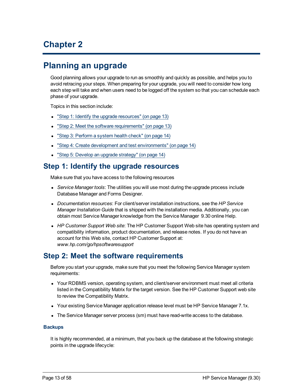# **Chapter 2**

# <span id="page-12-0"></span>**Planning an upgrade**

Good planning allows your upgrade to run as smoothly and quickly as possible, and helps you to avoid retracing your steps. When preparing for your upgrade, you will need to consider how long each step will take and when users need to be logged off the system so that you can schedule each phase of your upgrade.

Topics in this section include:

- ["Step](#page-12-1) [1:](#page-12-1) [Identify](#page-12-1) [the](#page-12-1) [upgrade](#page-12-1) [resources"](#page-12-1) [\(on](#page-12-1) [page](#page-12-1) [13\)](#page-12-1)
- ["Step](#page-12-2) [2:](#page-12-2) [Meet](#page-12-2) [the](#page-12-2) [software](#page-12-2) [requirements"](#page-12-2) [\(on](#page-12-2) [page](#page-12-2) [13\)](#page-12-2)
- ["Step](#page-13-1) [3:](#page-13-1) [Perform](#page-13-1) [a](#page-13-1) [system](#page-13-1) [health](#page-13-1) [check"](#page-13-1) [\(on](#page-13-1) [page](#page-13-1) [14\)](#page-13-1)
- ["Step](#page-13-2) [4:](#page-13-2) [Create](#page-13-2) [development](#page-13-2) [and](#page-13-2) [test](#page-13-2) [environments"](#page-13-2) [\(on](#page-13-2) [page](#page-13-2) [14\)](#page-13-2)
- <span id="page-12-1"></span>• ["Step](#page-13-3) [5:](#page-13-3) [Develop](#page-13-3) [an](#page-13-3) [upgrade](#page-13-3) [strategy"](#page-13-3) [\(on](#page-13-3) [page](#page-13-3) [14\)](#page-13-3)

### **Step 1: Identify the upgrade resources**

<span id="page-12-4"></span>Make sure that you have access to the following resources

- Service Manager *tools*: The utilities you will use most during the upgrade process include Database Manager and Forms Designer.
- <sup>l</sup> *Documentation resources*: For client/server installation instructions, see the *HP Service Manager Installation Guide* that is shipped with the installation media. Additionally, you can obtain most Service Manager knowledge from the Service Manager 9.30 online Help.
- **HP Customer Support Web site: The HP Customer Support Web site has operating system and** compatibility information, product documentation, and release notes. If you do not have an account for this Web site, contact HP Customer Support at: *www.hp.com/go/hpsoftwaresupport*

## <span id="page-12-2"></span>**Step 2: Meet the software requirements**

Before you start your upgrade, make sure that you meet the following Service Manager system requirements:

- Your RDBMS version, operating system, and client/server environment must meet all criteria listed in the Compatibility Matrix for the target version. See the HP Customer Support web site to review the Compatibility Matrix.
- Your existing Service Manager application release level must be HP Service Manager 7.1x.
- The Service Manager server process (sm) must have read-write access to the database.

#### <span id="page-12-3"></span>**Backups**

It is highly recommended, at a minimum, that you back up the database at the following strategic points in the upgrade lifecycle: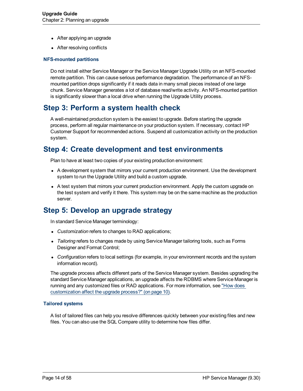- After applying an upgrade
- After resolving conflicts

#### <span id="page-13-0"></span>**NFS-mounted partitions**

Do not install either Service Manager or the Service Manager Upgrade Utility on an NFS-mounted remote partition. This can cause serious performance degradation. The performance of an NFSmounted partition drops significantly if it reads data in many small pieces instead of one large chunk. Service Manager generates a lot of database read/write activity. An NFS-mounted partition is significantly slower than a local drive when running the Upgrade Utility process.

## <span id="page-13-1"></span>**Step 3: Perform a system health check**

A well-maintained production system is the easiest to upgrade. Before starting the upgrade process, perform all regular maintenance on your production system. If necessary, contact HP Customer Support for recommended actions. Suspend all customization activity on the production system.

### <span id="page-13-2"></span>**Step 4: Create development and test environments**

<span id="page-13-5"></span>Plan to have at least two copies of your existing production environment:

- A development system that mirrors your current production environment. Use the development system to run the Upgrade Utility and build a custom upgrade.
- <span id="page-13-6"></span>• A test system that mirrors your current production environment. Apply the custom upgrade on the test system and verify it there. This system may be on the same machine as the production server.

## <span id="page-13-3"></span>**Step 5: Develop an upgrade strategy**

In standard Service Manager terminology:

- Customization refers to changes to RAD applications;
- Tailoring refers to changes made by using Service Manager tailoring tools, such as Forms Designer and Format Control;
- Configuration refers to local settings (for example, in your environment records and the system information record).

The upgrade process affects different parts of the Service Manager system. Besides upgrading the standard Service Manager applications, an upgrade affects the RDBMS where Service Manager is running and any customized files or RAD applications. For more information, see ["How](#page-9-1) [does](#page-9-1) [customization](#page-9-1) [affect](#page-9-1) [the](#page-9-1) [upgrade](#page-9-1) [process?"](#page-9-1) [\(on](#page-9-1) [page](#page-9-1) [10\).](#page-9-1)

#### <span id="page-13-4"></span>**Tailored systems**

A list of tailored files can help you resolve differences quickly between your existing files and new files. You can also use the SQL Compare utility to determine how files differ.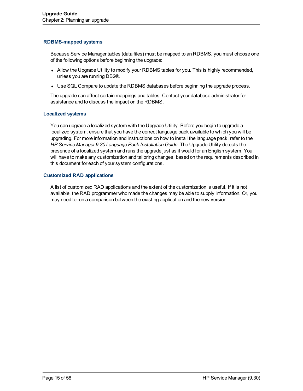#### <span id="page-14-0"></span>**RDBMS-mapped systems**

Because Service Manager tables (data files) must be mapped to an RDBMS, you must choose one of the following options before beginning the upgrade:

- Allow the Upgrade Utility to modify your RDBMS tables for you. This is highly recommended, unless you are running DB2®.
- Use SQL Compare to update the RDBMS databases before beginning the upgrade process.

The upgrade can affect certain mappings and tables. Contact your database administrator for assistance and to discuss the impact on the RDBMS.

#### <span id="page-14-1"></span>**Localized systems**

You can upgrade a localized system with the Upgrade Utility. Before you begin to upgrade a localized system, ensure that you have the correct language pack available to which you will be upgrading. For more information and instructions on how to install the language pack, refer to the *HP Service Manager 9.30 Language Pack Installation Guide*. The Upgrade Utility detects the presence of a localized system and runs the upgrade just as it would for an English system. You will have to make any customization and tailoring changes, based on the requirements described in this document for each of your system configurations.

#### <span id="page-14-2"></span>**Customized RAD applications**

A list of customized RAD applications and the extent of the customization is useful. If it is not available, the RAD programmer who made the changes may be able to supply information. Or, you may need to run a comparison between the existing application and the new version.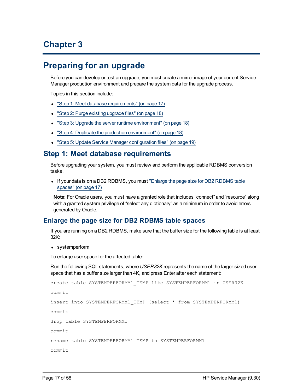# **Chapter 3**

# <span id="page-16-0"></span>**Preparing for an upgrade**

Before you can develop or test an upgrade, you must create a mirror image of your current Service Manager production environment and prepare the system data for the upgrade process.

Topics in this section include:

- ["Step](#page-16-1) [1:](#page-16-1) [Meet](#page-16-1) [database](#page-16-1) [requirements"](#page-16-1) [\(on](#page-16-1) [page](#page-16-1) [17\)](#page-16-1)
- ["Step](#page-17-0) [2:](#page-17-0) [Purge](#page-17-0) [existing](#page-17-0) [upgrade](#page-17-0) [files"](#page-17-0) [\(on](#page-17-0) [page](#page-17-0) [18\)](#page-17-0)
- ["Step](#page-17-1) [3:](#page-17-1) [Upgrade](#page-17-1) [the](#page-17-1) [server](#page-17-1) [runtime](#page-17-1) [environment"](#page-17-1) [\(on](#page-17-1) [page](#page-17-1) [18\)](#page-17-1)
- ["Step](#page-17-2) [4:](#page-17-2) [Duplicate](#page-17-2) [the](#page-17-2) [production](#page-17-2) [environment"](#page-17-2) [\(on](#page-17-2) [page](#page-17-2) [18\)](#page-17-2)
- <span id="page-16-1"></span>• ["Step](#page-18-0) [5:](#page-18-0) [Update](#page-18-0) [Service](#page-18-0) [Manager](#page-18-0) [configuration](#page-18-0) [files"](#page-18-0) [\(on](#page-18-0) [page](#page-18-0) [19\)](#page-18-0)

### **Step 1: Meet database requirements**

Before upgrading your system, you must review and perform the applicable RDBMS conversion tasks.

• If your data is on a DB2 RDBMS, you must ["Enlarge](#page-16-2) [the](#page-16-2) [page](#page-16-2) [size](#page-16-2) [for](#page-16-2) [DB2](#page-16-2) [RDBMS](#page-16-2) [table](#page-16-2) [spaces"](#page-16-2) [\(on](#page-16-2) [page](#page-16-2) [17\)](#page-16-2)

**Note:** For Oracle users, you must have a granted role that includes "connect" and "resource" along with a granted system privilege of "select any dictionary" as a minimum in order to avoid errors generated by Oracle.

### <span id="page-16-2"></span>**Enlarge the page size for DB2 RDBMS table spaces**

If you are running on a DB2 RDBMS, make sure that the buffer size for the following table is at least 32K:

• systemperform

To enlarge user space for the affected table:

Run the following SQL statements, where *USER32K* represents the name of the larger-sized user space that has a buffer size larger than 4K, and press Enter after each statement:

```
create table SYSTEMPERFORMM1_TEMP like SYSTEMPERFORMM1 in USER32K
commit
insert into SYSTEMPERFORMM1_TEMP (select * from SYSTEMPERFORMM1)
commit
drop table SYSTEMPERFORMM1
commit
rename table SYSTEMPERFORMM1_TEMP to SYSTEMPERFORMM1
commit
```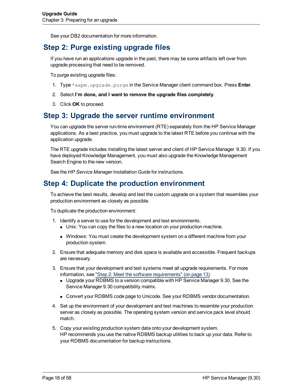<span id="page-17-0"></span>See your DB2 documentation for more information.

## **Step 2: Purge existing upgrade files**

If you have run an applications upgrade in the past, there may be some artifacts left over from upgrade processing that need to be removed.

To purge existing upgrade files:

- 1. Type \*aapm.upgrade.purge in the Service Manager client command box. Press **Enter**.
- 2. Select **I'm done, and I want to remove the upgrade files completely**.
- 3. Click **OK** to proceed.

### <span id="page-17-1"></span>**Step 3: Upgrade the server runtime environment**

<span id="page-17-3"></span>You can upgrade the server run-time environment (RTE) separately from the HP Service Manager applications. As a best practice, you must upgrade to the latest RTE before you continue with the application upgrade.

The RTE upgrade includes installing the latest server and client of HP Service Manager 9.30. If you have deployed Knowledge Management, you must also upgrade the Knowledge Management Search Engine to the new version.

<span id="page-17-2"></span>See the *HP Service Manager Installation Guide* for instructions.

## **Step 4: Duplicate the production environment**

To achieve the best results, develop and test the custom upgrade on a system that resembles your production environment as closely as possible.

To duplicate the production environment:

- 1. Identify a server to use for the development and test environments.
	- Unix: You can copy the files to a new location on your production machine.
	- Windows: You must create the development system on a different machine from your production system.
- 2. Ensure that adequate memory and disk space is available and accessible. Frequent backups are necessary.
- 3. Ensure that your development and test systems meet all upgrade requirements. For more information, see ["Step](#page-12-2) [2:](#page-12-2) [Meet](#page-12-2) [the](#page-12-2) [software](#page-12-2) [requirements"](#page-12-2) [\(on](#page-12-2) [page](#page-12-2) [13\).](#page-12-2)
	- **Deparate your RDBMS to a version compatible with HP Service Manager 9.30. See the** Service Manager 9.30 compatibility matrix.
	- **n** Convert your RDBMS code page to Unicode. See your RDBMS vendor documentation.
- 4. Set up the environment of your development and test machines to resemble your production server as closely as possible. The operating system version and service pack level should match.
- 5. Copy your existing production system data onto your development system. HP recommends you use the native RDBMS backup utilities to back up your data. Refer to your RDBMS documentation for backup instructions.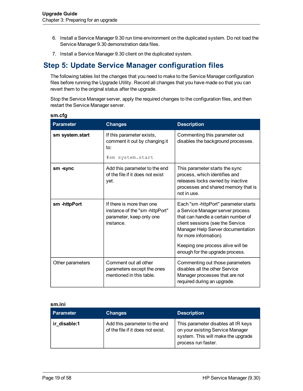- 6. Install a Service Manager 9.30 run time environment on the duplicated system. Do not load the Service Manager 9.30 demonstration data files.
- <span id="page-18-0"></span>7. Install a Service Manager 9.30 client on the duplicated system.

## **Step 5: Update Service Manager configuration files**

The following tables list the changes that you need to make to the Service Manager configuration files before running the Upgrade Utility. Record all changes that you have made so that you can revert them to the original status after the upgrade.

Stop the Service Manager server, apply the required changes to the configuration files, and then restart the Service Manager server.

| <b>Parameter</b> | <b>Changes</b>                                                                                      | <b>Description</b>                                                                                                                                                                                                                                                                        |
|------------------|-----------------------------------------------------------------------------------------------------|-------------------------------------------------------------------------------------------------------------------------------------------------------------------------------------------------------------------------------------------------------------------------------------------|
| sm system.start  | If this parameter exists,<br>comment it out by changing it<br>to:<br>#sm system.start               | Commenting this parameter out<br>disables the background processes.                                                                                                                                                                                                                       |
| sm -sync         | Add this parameter to the end<br>of the file if it does not exist<br>yet.                           | This parameter starts the sync<br>process, which identifies and<br>releases locks owned by inactive<br>processes and shared memory that is<br>not in use.                                                                                                                                 |
| sm-httpPort      | If there is more than one<br>instance of the "sm-httpPort"<br>parameter, keep only one<br>instance. | Each "sm-httpPort" parameter starts<br>a Service Manager server process<br>that can handle a certain number of<br>client sessions (see the Service<br>Manager Help Server documentation<br>for more information).<br>Keeping one process alive will be<br>enough for the upgrade process. |
| Other parameters | Comment out all other<br>parameters except the ones<br>mentioned in this table.                     | Commenting out those parameters<br>disables all the other Service<br>Manager processes that are not<br>required during an upgrade.                                                                                                                                                        |

#### **sm.cfg**

#### **sm.ini**

| <b>Parameter</b> | <b>Changes</b>                                                     | <b>Description</b>                                                                                                                   |
|------------------|--------------------------------------------------------------------|--------------------------------------------------------------------------------------------------------------------------------------|
| ir disable:1     | Add this parameter to the end<br>of the file if it does not exist. | This parameter disables all IR keys<br>on your existing Service Manager<br>system. This will make the upgrade<br>process run faster. |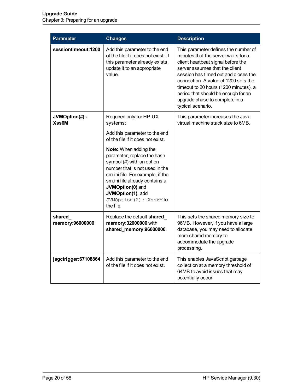| <b>Parameter</b>           | <b>Changes</b>                                                                                                                                                                                                                                                               | <b>Description</b>                                                                                                                                                                                                                                                                                                                                                         |
|----------------------------|------------------------------------------------------------------------------------------------------------------------------------------------------------------------------------------------------------------------------------------------------------------------------|----------------------------------------------------------------------------------------------------------------------------------------------------------------------------------------------------------------------------------------------------------------------------------------------------------------------------------------------------------------------------|
| sessiontimeout:1200        | Add this parameter to the end<br>of the file if it does not exist. If<br>this parameter already exists,<br>update it to an appropriate<br>value.                                                                                                                             | This parameter defines the number of<br>minutes that the server waits for a<br>client heartbeat signal before the<br>server assumes that the client<br>session has timed out and closes the<br>connection. A value of 1200 sets the<br>timeout to 20 hours (1200 minutes), a<br>period that should be enough for an<br>upgrade phase to complete in a<br>typical scenario. |
| JVMOption(#):-<br>Xss6M    | Required only for HP-UX<br>systems:<br>Add this parameter to the end<br>of the file if it does not exist.                                                                                                                                                                    | This parameter increases the Java<br>virtual machine stack size to 6MB.                                                                                                                                                                                                                                                                                                    |
|                            | Note: When adding the<br>parameter, replace the hash<br>symbol (#) with an option<br>number that is not used in the<br>sm.ini file. For example, if the<br>sm.ini file already contains a<br>JVMOption(0) and<br>JVMOption(1), add<br>JVMOption (2) : -Xss6M to<br>the file. |                                                                                                                                                                                                                                                                                                                                                                            |
| shared_<br>memory:96000000 | Replace the default shared_<br>memory: 32000000 with<br>shared_memory:96000000.                                                                                                                                                                                              | This sets the shared memory size to<br>96MB. However, if you have a large<br>database, you may need to allocate<br>more shared memory to<br>accommodate the upgrade<br>processing.                                                                                                                                                                                         |
| jsgctrigger:67108864       | Add this parameter to the end<br>of the file if it does not exist.                                                                                                                                                                                                           | This enables JavaScript garbage<br>collection at a memory threshold of<br>64MB to avoid issues that may<br>potentially occur.                                                                                                                                                                                                                                              |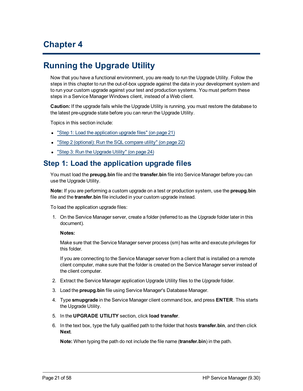# **Chapter 4**

# <span id="page-20-0"></span>**Running the Upgrade Utility**

Now that you have a functional environment, you are ready to run the Upgrade Utility. Follow the steps in this chapter to run the out-of-box upgrade against the data in your development system and to run your custom upgrade against your test and production systems. You must perform these steps in a Service Manager Windows client, instead of a Web client.

**Caution:** If the upgrade fails while the Upgrade Utility is running, you must restore the database to the latest pre-upgrade state before you can rerun the Upgrade Utility.

Topics in this section include:

- ["Step](#page-20-1) [1:](#page-20-1) [Load](#page-20-1) [the](#page-20-1) [application](#page-20-1) [upgrade](#page-20-1) [files"](#page-20-1) [\(on](#page-20-1) [page](#page-20-1) [21\)](#page-20-1)
- ["Step](#page-21-0) [2](#page-21-0) [\(optional\):](#page-21-0) [Run](#page-21-0) [the](#page-21-0) [SQL](#page-21-0) [compare](#page-21-0) [utility"](#page-21-0) [\(on](#page-21-0) [page](#page-21-0) [22\)](#page-21-0)
- <span id="page-20-1"></span>• ["Step](#page-23-0) [3:](#page-23-0) [Run](#page-23-0) [the](#page-23-0) [Upgrade](#page-23-0) [Utility"](#page-23-0) [\(on](#page-23-0) [page](#page-23-0) [24\)](#page-23-0)

### **Step 1: Load the application upgrade files**

You must load the **preupg.bin** file and the **transfer.bin** file into Service Manager before you can use the Upgrade Utility.

**Note:** If you are performing a custom upgrade on a test or production system, use the **preupg.bin** file and the **transfer.bin** file included in your custom upgrade instead.

To load the application upgrade files:

1. On the Service Manager server, create a folder (referred to as the *Upgrade* folder later in this document).

#### **Notes:**

Make sure that the Service Manager server process (sm) has write and execute privileges for this folder.

If you are connecting to the Service Manager server from a client that is installed on a remote client computer, make sure that the folder is created on the Service Manager server instead of the client computer.

- 2. Extract the Service Manager application Upgrade Utility files to the *Upgrade* folder.
- 3. Load the **preupg.bin** file using Service Manager's Database Manager.
- 4. Type **smupgrade** in the Service Manager client command box, and press **ENTER**. This starts the Upgrade Utility.
- 5. In the **UPGRADE UTILITY** section, click **load transfer**.
- 6. In the text box, type the fully qualified path to the folder that hosts **transfer.bin**, and then click **Next**.

**Note:** When typing the path do not include the file name (**transfer.bin**) in the path.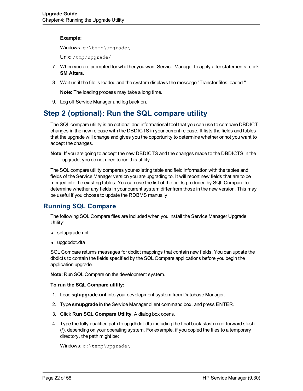#### **Example:**

Windows: c:\temp\upgrade\

Unix: /tmp/upgrade/

- 7. When you are prompted for whether you want Service Manager to apply alter statements, click **SM Alters**.
- 8. Wait until the file is loaded and the system displays the message "Transfer files loaded."

**Note:** The loading process may take a long time.

9. Log off Service Manager and log back on.

## <span id="page-21-0"></span>**Step 2 (optional): Run the SQL compare utility**

The SQL compare utility is an optional and informational tool that you can use to compare DBDICT changes in the new release with the DBDICTS in your current release. It lists the fields and tables that the upgrade will change and gives you the opportunity to determine whether or not you want to accept the changes.

**Note**: If you are going to accept the new DBDICTS and the changes made to the DBDICTS in the upgrade, you do not need to run this utility.

The SQL compare utility compares your existing table and field information with the tables and fields of the Service Manager version you are upgrading to. It will report new fields that are to be merged into the existing tables. You can use the list of the fields produced by SQL Compare to determine whether any fields in your current system differ from those in the new version. This may be useful if you choose to update the RDBMS manually.

### <span id="page-21-1"></span>**Running SQL Compare**

The following SQL Compare files are included when you install the Service Manager Upgrade Utility:

- sqlupgrade.unl
- $\bullet$  upgdbdct.dta

SQL Compare returns messages for dbdict mappings that contain new fields. You can update the dbdicts to contain the fields specified by the SQL Compare applications before you begin the application upgrade.

**Note:** Run SQL Compare on the development system.

#### **To run the SQL Compare utility:**

- 1. Load **sqlupgrade.unl** into your development system from Database Manager.
- 2. Type **smupgrade** in the Service Manager client command box, and press ENTER.
- 3. Click **Run SQL Compare Utility**. A dialog box opens.
- 4. Type the fully qualified path to upgdbdct.dta including the final back slash (\) or forward slash (/), depending on your operating system. For example, if you copied the files to a temporary directory, the path might be:

```
Windows: c:\temp\upgrade\
```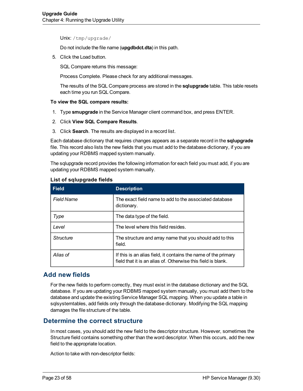Unix: /tmp/upgrade/

Do not include the file name (**upgdbdct.dta**) in this path.

5. Click the Load button.

SQL Compare returns this message:

Process Complete. Please check for any additional messages.

The results of the SQL Compare process are stored in the **sqlupgrade** table. This table resets each time you run SQL Compare.

#### **To view the SQL compare results:**

- 1. Type **smupgrade** in the Service Manager client command box, and press ENTER.
- 2. Click **View SQL Compare Results**.
- 3. Click **Search**. The results are displayed in a record list.

Each database dictionary that requires changes appears as a separate record in the **sqlupgrade** file. This record also lists the new fields that you must add to the database dictionary, if you are updating your RDBMS mapped system manually.

The sqlupgrade record provides the following information for each field you must add, if you are updating your RDBMS mapped system manually.

| <b>Field</b>      | <b>Description</b>                                                                                                             |
|-------------------|--------------------------------------------------------------------------------------------------------------------------------|
| <b>Field Name</b> | The exact field name to add to the associated database<br>dictionary.                                                          |
| Type              | The data type of the field.                                                                                                    |
| Level             | The level where this field resides.                                                                                            |
| Structure         | The structure and array name that you should add to this<br>field.                                                             |
| Alias of          | If this is an alias field, it contains the name of the primary<br>field that it is an alias of. Otherwise this field is blank. |

#### **List of sqlupgrade fields**

### <span id="page-22-0"></span>**Add new fields**

For the new fields to perform correctly, they must exist in the database dictionary and the SQL database. If you are updating your RDBMS mapped system manually, you must add them to the database and update the existing Service Manager SQL mapping. When you update a table in sqlsystemtables, add fields only through the database dictionary. Modifying the SQL mapping damages the file structure of the table.

### <span id="page-22-1"></span>**Determine the correct structure**

In most cases, you should add the new field to the descriptor structure. However, sometimes the Structure field contains something other than the word descriptor. When this occurs, add the new field to the appropriate location.

Action to take with non-descriptor fields: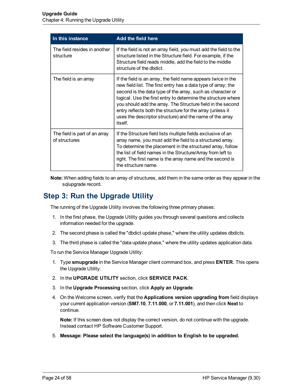| In this instance                               | Add the field here                                                                                                                                                                                                                                                                                                                                                                                                                                                |
|------------------------------------------------|-------------------------------------------------------------------------------------------------------------------------------------------------------------------------------------------------------------------------------------------------------------------------------------------------------------------------------------------------------------------------------------------------------------------------------------------------------------------|
| The field resides in another<br>structure      | If the field is not an array field, you must add the field to the<br>structure listed in the Structure field. For example, if the<br>Structure field reads middle, add the field to the middle<br>structure of the dbdict.                                                                                                                                                                                                                                        |
| The field is an array                          | If the field is an array, the field name appears twice in the<br>new field list. The first entry has a data type of array; the<br>second is the data type of the array, such as character or<br>logical. Use the first entry to determine the structure where<br>you should add the array. The Structure field in the second<br>entry reflects both the structure for the array (unless it<br>uses the descriptor structure) and the name of the array<br>itself. |
| The field is part of an array<br>of structures | If the Structure field lists multiple fields exclusive of an<br>array name, you must add the field to a structured array.<br>To determine the placement in the structured array, follow<br>the list of field names in the Structure/Array from left to<br>right. The first name is the array name and the second is<br>the structure name.                                                                                                                        |

**Note:** When adding fields to an array of structures, add them in the same order as they appear in the sqlupgrade record.

## <span id="page-23-0"></span>**Step 3: Run the Upgrade Utility**

The running of the Upgrade Utility involves the following three primary phases:

- 1. In the first phase, the Upgrade Utility guides you through several questions and collects information needed for the upgrade.
- 2. The second phase is called the "dbdict update phase," where the utility updates dbdicts.
- 3. The third phase is called the "data update phase," where the utility updates application data.

To run the Service Manager Upgrade Utility:

- 1. Type **smupgrade** in the Service Manager client command box, and press **ENTER**. This opens the Upgrade Utility.
- 2. In the **UPGRADE UTILITY** section, click **SERVICE PACK**.
- 3. In the **Upgrade Processing** section, click **Apply an Upgrade**.
- 4. On the Welcome screen, verify that the **Applications version upgrading from** field displays your current application version (**SM7.10**, **7.11.000**, or **7.11.001**), and then click **Next** to continue.

**Note:** If this screen does not display the correct version, do not continue with the upgrade. Instead contact HP Software Customer Support.

5. **Message: Please select the language(s) in addition to English to be upgraded.**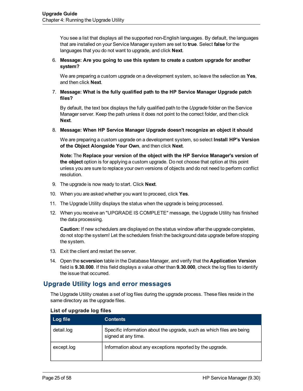You see a list that displays all the supported non-English languages. By default, the languages that are installed on your Service Manager system are set to **true**. Select **false** for the languages that you do not want to upgrade, and click **Next**.

#### 6. **Message: Are you going to use this system to create a custom upgrade for another system?**

We are preparing a custom upgrade on a development system, so leave the selection as **Yes**, and then click **Next**.

#### 7. **Message: What is the fully qualified path to the HP Service Manager Upgrade patch files?**

By default, the text box displays the fully qualified path to the *Upgrade* folder on the Service Manager server. Keep the path unless it does not point to the correct folder, and then click **Next**.

#### 8. **Message: When HP Service Manager Upgrade doesn't recognize an object it should**

We are preparing a custom upgrade on a development system, so select **Install HP's Version of the Object Alongside Your Own**, and then click **Next**.

**Note:** The **Replace your version of the object with the HP Service Manager's version of the object** option is for applying a custom upgrade. Do not choose that option at this point unless you are sure to replace your own versions of objects and do not need to perform conflict resolution.

- 9. The upgrade is now ready to start. Click **Next**.
- 10. When you are asked whether you want to proceed, click **Yes**.
- 11. The Upgrade Utility displays the status when the upgrade is being processed.
- 12. When you receive an "UPGRADE IS COMPLETE" message, the Upgrade Utility has finished the data processing.

**Caution:** If new schedulers are displayed on the status window after the upgrade completes, do not stop the system! Let the schedulers finish the background data upgrade before stopping the system.

- 13. Exit the client and restart the server.
- 14. Open the **scversion** table in the Database Manager, and verify that the **Application Version** field is **9.30.000**. If this field displays a value other than **9.30.000**, check the log files to identify the issue that occurred.

### <span id="page-24-0"></span>**Upgrade Utility logs and error messages**

The Upgrade Utility creates a set of log files during the upgrade process. These files reside in the same directory as the upgrade files.

<span id="page-24-2"></span><span id="page-24-1"></span>

| Log file   | <b>Contents</b>                                                                              |
|------------|----------------------------------------------------------------------------------------------|
| detail.log | Specific information about the upgrade, such as which files are being<br>signed at any time. |
| except.log | Information about any exceptions reported by the upgrade.                                    |

#### **List of upgrade log files**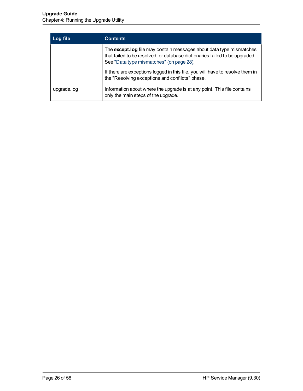<span id="page-25-0"></span>

| Log file    | <b>Contents</b>                                                                                                                                                                                |
|-------------|------------------------------------------------------------------------------------------------------------------------------------------------------------------------------------------------|
|             | The except.log file may contain messages about data type mismatches<br>that failed to be resolved, or database dictionaries failed to be upgraded.<br>See "Data type mismatches" (on page 28). |
|             | If there are exceptions logged in this file, you will have to resolve them in<br>the "Resolving exceptions and conflicts" phase.                                                               |
| upgrade.log | Information about where the upgrade is at any point. This file contains<br>only the main steps of the upgrade.                                                                                 |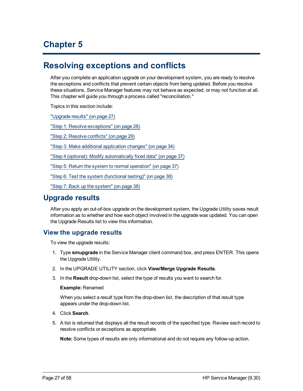# **Chapter 5**

# <span id="page-26-0"></span>**Resolving exceptions and conflicts**

After you complete an application upgrade on your development system, you are ready to resolve the exceptions and conflicts that prevent certain objects from being updated. Before you resolve these situations, Service Manager features may not behave as expected, or may not function at all. This chapter will guide you through a process called "reconciliation."

Topics in this section include:

["Upgrade](#page-26-1) [results"](#page-26-1) [\(on](#page-26-1) [page](#page-26-1) [27\)](#page-26-1)

["Step](#page-27-1) [1:](#page-27-1) [Resolve](#page-27-1) [exceptions"](#page-27-1) [\(on](#page-27-1) [page](#page-27-1) [28\)](#page-27-1)

["Step](#page-28-1) [2:](#page-28-1) [Resolve](#page-28-1) [conflicts"](#page-28-1) [\(on](#page-28-1) [page](#page-28-1) [29\)](#page-28-1)

["Step](#page-33-0) [3:](#page-33-0) [Make](#page-33-0) [additional](#page-33-0) [application](#page-33-0) [changes"](#page-33-0) [\(on](#page-33-0) [page](#page-33-0) [34\)](#page-33-0)

["Step](#page-36-0) [4](#page-36-0) [\(optional\):](#page-36-0) [Modify](#page-36-0) [automatically](#page-36-0) [fixed](#page-36-0) [data"](#page-36-0) [\(on](#page-36-0) [page](#page-36-0) [37\)](#page-36-0)

["Step](#page-36-1) [5:](#page-36-1) [Return](#page-36-1) [the](#page-36-1) [system](#page-36-1) [to](#page-36-1) [normal](#page-36-1) [operation"](#page-36-1) [\(on](#page-36-1) [page](#page-36-1) [37\)](#page-36-1)

["Step](#page-37-0) [6:](#page-37-0) [Test](#page-37-0) [the](#page-37-0) [system](#page-37-0) [\(functional](#page-37-0) [testing\)"](#page-37-0) [\(on](#page-37-0) [page](#page-37-0) [38\)](#page-37-0)

<span id="page-26-1"></span>["Step](#page-37-1) [7:](#page-37-1) [Back](#page-37-1) [up](#page-37-1) [the](#page-37-1) [system"](#page-37-1) [\(on](#page-37-1) [page](#page-37-1) [38\)](#page-37-1)

## **Upgrade results**

After you apply an out-of-box upgrade on the development system, the Upgrade Utility saves result information as to whether and how each object involved in the upgrade was updated. You can open the Upgrade Results list to view this information.

### <span id="page-26-2"></span>**View the upgrade results**

To view the upgrade results:

- 1. Type **smupgrade** in the Service Manager client command box, and press ENTER. This opens the Upgrade Utility.
- 2. In the UPGRADE UTILITY section, click **View/Merge Upgrade Results**.
- 3. In the **Result** drop-down list, select the type of results you want to search for.

#### **Example:** Renamed

When you select a result type from the drop-down list, the description of that result type appears under the drop-down list.

- 4. Click **Search**.
- 5. A list is returned that displays all the result records of the specified type. Review each record to resolve conflicts or exceptions as appropriate.

**Note:** Some types of results are only informational and do not require any follow-up action.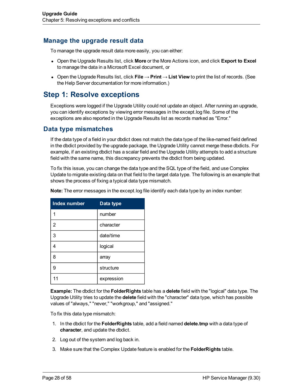### <span id="page-27-0"></span>**Manage the upgrade result data**

To manage the upgrade result data more easily, you can either:

- <sup>l</sup> Open the Upgrade Results list, click **More** or the More Actions icon, and click **Export to Excel** to manage the data in a Microsoft Excel document, or
- <sup>l</sup> Open the Upgrade Results list, click **File** → **Print** → **List View** to print the list of records. (See the Help Server documentation for more information.)

### <span id="page-27-1"></span>**Step 1: Resolve exceptions**

Exceptions were logged if the Upgrade Utility could not update an object. After running an upgrade, you can identify exceptions by viewing error messages in the except.log file. Some of the exceptions are also reported in the Upgrade Results list as records marked as "Error."

### <span id="page-27-2"></span>**Data type mismatches**

If the data type of a field in your dbdict does not match the data type of the like-named field defined in the dbdict provided by the upgrade package, the Upgrade Utility cannot merge these dbdicts. For example, if an existing dbdict has a scalar field and the Upgrade Utility attempts to add a structure field with the same name, this discrepancy prevents the dbdict from being updated.

To fix this issue, you can change the data type and the SQL type of the field, and use Complex Update to migrate existing data on that field to the target data type. The following is an example that shows the process of fixing a typical data type mismatch.

| <b>Index number</b> | Data type  |
|---------------------|------------|
|                     | number     |
| $\overline{2}$      | character  |
| 3                   | date/time  |
| 4                   | logical    |
| 8                   | array      |
| 9                   | structure  |
| 11                  | expression |

<span id="page-27-3"></span>**Note:** The error messages in the except.log file identify each data type by an index number:

**Example:** The dbdict for the **FolderRights** table has a **delete** field with the "logical" data type. The Upgrade Utility tries to update the **delete** field with the "character" data type, which has possible values of "always," "never," "workgroup," and "assigned."

To fix this data type mismatch:

- 1. In the dbdict for the **FolderRights** table, add a field named **delete.tmp** with a data type of **character**, and update the dbdict.
- 2. Log out of the system and log back in.
- 3. Make sure that the Complex Update feature is enabled for the **FolderRights** table.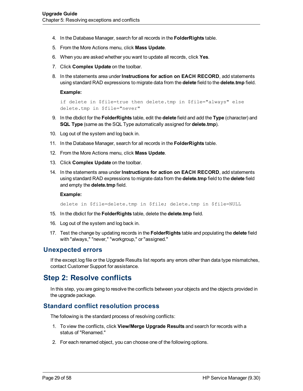- 4. In the Database Manager, search for all records in the **FolderRights** table.
- 5. From the More Actions menu, click **Mass Update**.
- 6. When you are asked whether you want to update all records, click **Yes**.
- 7. Click **Complex Update** on the toolbar.
- 8. In the statements area under **Instructions for action on EACH RECORD**, add statements using standard RAD expressions to migrate data from the **delete** field to the **delete.tmp** field.

#### **Example:**

```
if delete in $file=true then delete.tmp in $file="always" else
delete.tmp in $file="never"
```
- 9. In the dbdict for the **FolderRights** table, edit the **delete** field and add the **Type** (character) and **SQL Type** (same as the SQL Type automatically assigned for **delete.tmp**).
- 10. Log out of the system and log back in.
- 11. In the Database Manager, search for all records in the **FolderRights** table.
- 12. From the More Actions menu, click **Mass Update**.
- 13. Click **Complex Update** on the toolbar.
- 14. In the statements area under **Instructions for action on EACH RECORD**, add statements using standard RAD expressions to migrate data from the **delete.tmp** field to the **delete** field and empty the **delete.tmp** field.

#### **Example:**

delete in \$file=delete.tmp in \$file; delete.tmp in \$file=NULL

- 15. In the dbdict for the **FolderRights** table, delete the **delete.tmp** field.
- 16. Log out of the system and log back in.
- 17. Test the change by updating records in the **FolderRights** table and populating the **delete** field with "always," "never," "workgroup," or "assigned."

#### <span id="page-28-0"></span>**Unexpected errors**

If the except.log file or the Upgrade Results list reports any errors other than data type mismatches, contact Customer Support for assistance.

### <span id="page-28-1"></span>**Step 2: Resolve conflicts**

In this step, you are going to resolve the conflicts between your objects and the objects provided in the upgrade package.

### <span id="page-28-2"></span>**Standard conflict resolution process**

The following is the standard process of resolving conflicts:

- 1. To view the conflicts, click **View/Merge Upgrade Results** and search for records with a status of "Renamed."
- 2. For each renamed object, you can choose one of the following options.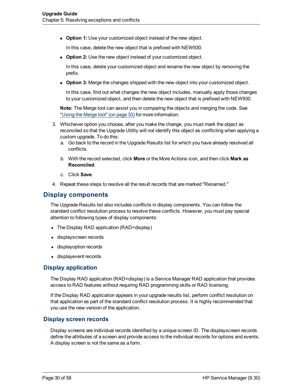**Dption 1:** Use your customized object instead of the new object.

In this case, delete the new object that is prefixed with NEW930.

**Dption 2:** Use the new object instead of your customized object.

In this case, delete your customized object and rename the new object by removing the prefix.

**• Option 3:** Merge the changes shipped with the new object into your customized object.

In this case, find out what changes the new object includes, manually apply those changes to your customized object, and then delete the new object that is prefixed with NEW930.

**Note:** The Merge tool can assist you in comparing the objects and merging the code. See ["Using](#page-32-0) [the](#page-32-0) [Merge](#page-32-0) [tool"](#page-32-0) [\(on](#page-32-0) [page](#page-32-0) [33\)](#page-32-0) for more information.

- 3. Whichever option you choose, after you make the change, you must mark the object as reconciled so that the Upgrade Utility will not identify this object as conflicting when applying a custom upgrade. To do this:
	- a. Go back to the record in the Upgrade Results list for which you have already resolved all conflicts.
	- b. With the record selected, click **More** or the More Actions icon, and then click **Mark as Reconciled**.
	- c. Click **Save**.
- 4. Repeat these steps to resolve all the result records that are marked "Renamed."

### <span id="page-29-0"></span>**Display components**

The Upgrade Results list also includes conflicts in display components. You can follow the standard conflict resolution process to resolve these conflicts. However, you must pay special attention to following types of display components:

- The Display RAD application (RAD=display)
- displayscreen records
- displayoption records
- displayevent records

#### <span id="page-29-1"></span>**Display application**

<span id="page-29-4"></span>The Display RAD application (RAD=display) is a Service Manager RAD application that provides access to RAD features without requiring RAD programming skills or RAD licensing.

If the Display RAD application appears in your upgrade results list, perform conflict resolution on that application as part of the standard conflict resolution process. It is highly recommended that you use the new version of the application.

#### <span id="page-29-2"></span>**Display screen records**

<span id="page-29-3"></span>Display screens are individual records identified by a unique screen ID. The displayscreen records define the attributes of a screen and provide access to the individual records for options and events. A display screen is not the same as a form.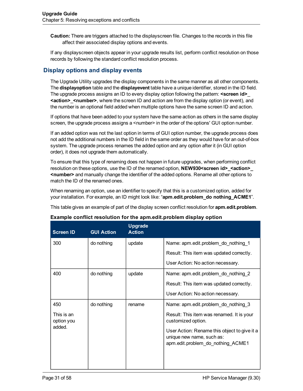**Caution:** There are triggers attached to the displayscreen file. Changes to the records in this file affect their associated display options and events.

If any displayscreen objects appear in your upgrade results list, perform conflict resolution on those records by following the standard conflict resolution process.

### <span id="page-30-0"></span>**Display options and display events**

The Upgrade Utility upgrades the display components in the same manner as all other components. The **displayoption** table and the **displayevent** table have a unique identifier, stored in the ID field. The upgrade process assigns an ID to every display option following the pattern: **<screen id>**\_ **<action>**\_**<number>**, where the screen ID and action are from the display option (or event), and the number is an optional field added when multiple options have the same screen ID and action.

If options that have been added to your system have the same action as others in the same display screen, the upgrade process assigns a <number> in the order of the options' GUI option number.

If an added option was not the last option in terms of GUI option number, the upgrade process does not add the additional numbers in the ID field in the same order as they would have for an out-of-box system. The upgrade process renames the added option and any option after it (in GUI option order), it does not upgrade them automatically.

To ensure that this type of renaming does not happen in future upgrades, when performing conflict resolution on these options, use the ID of the renamed option, **NEW930<screen id>\_<action>\_ <number>** and manually change the identifier of the added options. Rename all other options to match the ID of the renamed ones.

When renaming an option, use an identifier to specify that this is a customized option, added for your installation. For example, an ID might look like: "**apm.edit.problem\_do nothing\_ACME1**".

This table gives an example of part of the display screen conflict resolution for **apm.edit.problem**.

| <b>Screen ID</b>         | <b>GUI Action</b> | <b>Upgrade</b><br><b>Action</b> |                                                                                                                |
|--------------------------|-------------------|---------------------------------|----------------------------------------------------------------------------------------------------------------|
| 300                      | do nothing        | update                          | Name: apm.edit.problem do nothing 1                                                                            |
|                          |                   |                                 | Result: This item was updated correctly.                                                                       |
|                          |                   |                                 | User Action: No action necessary.                                                                              |
| 400                      | do nothing        | update                          | Name: apm.edit.problem_do_nothing_2                                                                            |
|                          |                   |                                 | Result: This item was updated correctly.                                                                       |
|                          |                   |                                 | User Action: No action necessary.                                                                              |
| 450                      | do nothing        | rename                          | Name: apm.edit.problem_do_nothing_3                                                                            |
| This is an<br>option you |                   |                                 | Result: This item was renamed. It is your<br>customized option.                                                |
| added.                   |                   |                                 | User Action: Rename this object to give it a<br>unique new name, such as:<br>apm.edit.problem_do_nothing_ACME1 |
|                          |                   |                                 |                                                                                                                |

#### **Example conflict resolution for the apm.edit.problem display option**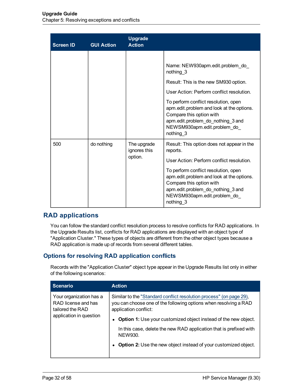| <b>Screen ID</b> | <b>GUI Action</b> | <b>Upgrade</b><br><b>Action</b>        |                                                                                                                                                                                                                                                                                                                                       |
|------------------|-------------------|----------------------------------------|---------------------------------------------------------------------------------------------------------------------------------------------------------------------------------------------------------------------------------------------------------------------------------------------------------------------------------------|
|                  |                   |                                        | Name: NEW930apm.edit.problem do<br>nothing 3<br>Result: This is the new SM930 option.<br>User Action: Perform conflict resolution.<br>To perform conflict resolution, open<br>apm.edit.problem and look at the options.<br>Compare this option with<br>apm.edit.problem_do_nothing_3 and<br>NEWSM930apm.edit.problem_do_<br>nothing 3 |
| 500              | do nothing        | The upgrade<br>ignores this<br>option. | Result: This option does not appear in the<br>reports.<br>User Action: Perform conflict resolution.<br>To perform conflict resolution, open<br>apm.edit.problem and look at the options.<br>Compare this option with<br>apm.edit.problem_do_nothing_3 and<br>NEWSM930apm.edit.problem_do_<br>nothing 3                                |

### <span id="page-31-0"></span>**RAD applications**

You can follow the standard conflict resolution process to resolve conflicts for RAD applications. In the Upgrade Results list, conflicts for RAD applications are displayed with an object type of "Application Cluster." These types of objects are different from the other object types because a RAD application is made up of records from several different tables.

### <span id="page-31-1"></span>**Options for resolving RAD application conflicts**

Records with the "Application Cluster" object type appear in the Upgrade Results list only in either of the following scenarios:

| <b>Scenario</b>                                                                               | <b>Action</b>                                                                                                                                                                                                                                                                                                                                                                                         |
|-----------------------------------------------------------------------------------------------|-------------------------------------------------------------------------------------------------------------------------------------------------------------------------------------------------------------------------------------------------------------------------------------------------------------------------------------------------------------------------------------------------------|
| Your organization has a<br>RAD license and has<br>tailored the RAD<br>application in question | Similar to the "Standard conflict resolution process" (on page 29),<br>you can choose one of the following options when resolving a RAD<br>application conflict:<br><b>Option 1:</b> Use your customized object instead of the new object.<br>In this case, delete the new RAD application that is prefixed with<br>NEW930.<br><b>Option 2:</b> Use the new object instead of your customized object. |
|                                                                                               |                                                                                                                                                                                                                                                                                                                                                                                                       |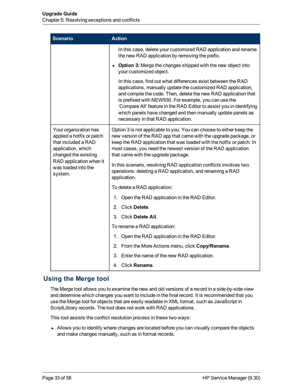| <b>Scenario</b>                                                                                                                                                                      | <b>Action</b>                                                                                                                                                                                                                                                                                                                                                                                                                            |  |  |
|--------------------------------------------------------------------------------------------------------------------------------------------------------------------------------------|------------------------------------------------------------------------------------------------------------------------------------------------------------------------------------------------------------------------------------------------------------------------------------------------------------------------------------------------------------------------------------------------------------------------------------------|--|--|
|                                                                                                                                                                                      | In this case, delete your customized RAD application and rename<br>the new RAD application by removing the prefix.                                                                                                                                                                                                                                                                                                                       |  |  |
|                                                                                                                                                                                      | <b>Option 3:</b> Merge the changes shipped with the new object into<br>$\bullet$<br>your customized object.                                                                                                                                                                                                                                                                                                                              |  |  |
|                                                                                                                                                                                      | In this case, find out what differences exist between the RAD<br>applications, manually update the customized RAD application,<br>and compile the code. Then, delete the new RAD application that<br>is prefixed with NEW930. For example, you can use the<br>'Compare All' feature in the RAD Editor to assist you in identifying<br>which panels have changed and then manually update panels as<br>necessary in that RAD application. |  |  |
| Your organization has<br>applied a hotfix or patch<br>that included a RAD<br>application, which<br>changed the existing<br>RAD application when it<br>was loaded into the<br>system. | Option 3 is not applicable to you. You can choose to either keep the<br>new version of the RAD app that came with the upgrade package, or<br>keep the RAD application that was loaded with the hotfix or patch. In<br>most cases, you need the newest version of the RAD application<br>that came with the upgrade package.                                                                                                              |  |  |
|                                                                                                                                                                                      | In this scenario, resolving RAD application conflicts involves two<br>operations: deleting a RAD application, and renaming a RAD<br>application.                                                                                                                                                                                                                                                                                         |  |  |
|                                                                                                                                                                                      | To delete a RAD application:                                                                                                                                                                                                                                                                                                                                                                                                             |  |  |
|                                                                                                                                                                                      | 1. Open the RAD application in the RAD Editor.                                                                                                                                                                                                                                                                                                                                                                                           |  |  |
|                                                                                                                                                                                      | 2. Click Delete.                                                                                                                                                                                                                                                                                                                                                                                                                         |  |  |
|                                                                                                                                                                                      | 3. Click Delete All.                                                                                                                                                                                                                                                                                                                                                                                                                     |  |  |
|                                                                                                                                                                                      | To rename a RAD application:                                                                                                                                                                                                                                                                                                                                                                                                             |  |  |
|                                                                                                                                                                                      | 1. Open the RAD application in the RAD Editor.                                                                                                                                                                                                                                                                                                                                                                                           |  |  |
|                                                                                                                                                                                      | 2. From the More Actions menu, click Copy/Rename.                                                                                                                                                                                                                                                                                                                                                                                        |  |  |
|                                                                                                                                                                                      | 3. Enter the name of the new RAD application.                                                                                                                                                                                                                                                                                                                                                                                            |  |  |
|                                                                                                                                                                                      | 4. Click Rename.                                                                                                                                                                                                                                                                                                                                                                                                                         |  |  |

### <span id="page-32-0"></span>**Using the Merge tool**

The Merge tool allows you to examine the new and old versions of a record in a side-by-side view and determine which changes you want to include in the final record. It is recommended that you use the Merge tool for objects that are easily readable in XML format, such as JavaScript in ScriptLibrary records. The tool does not work with RAD applications.

This tool assists the conflict resolution process in these two ways:

• Allows you to identify where changes are located before you can visually compare the objects and make changes manually, such as in format records.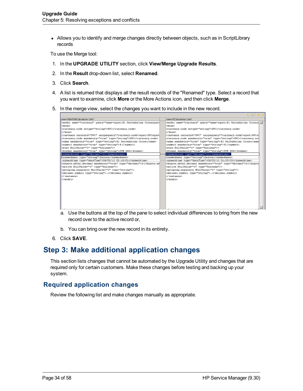• Allows you to identify and merge changes directly between objects, such as in ScriptLibrary records

To use the Merge tool:

- 1. In the **UPGRADE UTILITY** section, click **View/Merge Upgrade Results**.
- 2. In the **Result** drop-down list, select **Renamed**.
- 3. Click **Search**.
- 4. A list is returned that displays all the result records of the "Renamed" type. Select a record that you want to examine, click **More** or the More Actions icon, and then click **Merge**.
- 5. In the merge view, select the changes you want to include in the new record.

| name="MEW930EISalwadorian Colon"                                                                                                                                                                                                                                                                                                                                                                                                                                                                                                                                                                                                                                                    | Dolo's ostrobeyle2 R'heanen                                                                                                                                                                                                                                                                                                                                                                                                                                                                                                                                                                                                                                                                                                                 |
|-------------------------------------------------------------------------------------------------------------------------------------------------------------------------------------------------------------------------------------------------------------------------------------------------------------------------------------------------------------------------------------------------------------------------------------------------------------------------------------------------------------------------------------------------------------------------------------------------------------------------------------------------------------------------------------|---------------------------------------------------------------------------------------------------------------------------------------------------------------------------------------------------------------------------------------------------------------------------------------------------------------------------------------------------------------------------------------------------------------------------------------------------------------------------------------------------------------------------------------------------------------------------------------------------------------------------------------------------------------------------------------------------------------------------------------------|
| smodel name="currency" query="name=squot;El Salvadorian Colonsquot<br><keys><br/><br/><instance_recordid="svc" true"="" type="string" uniquequery="currency.code=squot;SVCsquot &lt;br&gt;&lt;wynbol nandatory="> 0<br/><format mandatory="true" type="string">5YR XXX</format><br/><br/>systeodoount type="decinal"&gt;O<br/>ksysmoduser type="string"&gt;falcon<br/><br>syswodtime type="dateTime"&gt;06/03/11 03:16:01<br/>digits.after.decimal mandatory="true" type="decimal"&gt;2<grouping.separator nullvalue="1" type="string"></grouping.separator><br/><decinal.symbol_type="string">.<br><br/></br></decinal.symbol_type="string"></br></instance_recordid="svc"></keys> | <model_neme="ourrency" query="neme=squot;El_Salvadorian_Colonsd&lt;br&gt;clos ya/&gt;&lt;br&gt;&lt;/keya&gt;&lt;br&gt;&lt;instance recordid=" svc"="" true"="" type="string" uniquequery="ourrency.code=squot;SVCsd&lt;br&gt;&lt;newe mendatory=">El Salvadorian Colon<wynbol mandatory="true" type="string"> d <br/><format mandatory="true" type="string">5YR XXX</format><br/><sysuodoount type="decinal">2</sysuodoount><br/><wywwodurer type="wtring">falcon</wywwodurer><br/><br/>systeodtime type="dateTime"&gt;06/03/11 01:29:25<br/><br/> 2<grouping.separator nullvalue="1" type="string"></grouping.separator><br><decinal.symbol_type="string">.<br/><br/></decinal.symbol_type="string"></br></wynbol></model_neme="ourrency"> |

- a. Use the buttons at the top of the pane to select individual differences to bring from the new record over to the active record or,
- b. You can bring over the new record in its entirety.
- <span id="page-33-0"></span>6. Click **SAVE**.

## **Step 3: Make additional application changes**

This section lists changes that cannot be automated by the Upgrade Utility and changes that are required only for certain customers. Make these changes before testing and backing up your system.

### <span id="page-33-1"></span>**Required application changes**

Review the following list and make changes manually as appropriate.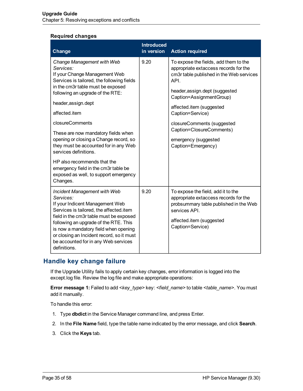#### **Required changes**

| <b>Change</b>                                                                                                                                                                                                                                                                                                                                                                                                                                                                                                                             | <b>Introduced</b><br>in version | <b>Action required</b>                                                                                                                                                                                                                                                                                                                                   |
|-------------------------------------------------------------------------------------------------------------------------------------------------------------------------------------------------------------------------------------------------------------------------------------------------------------------------------------------------------------------------------------------------------------------------------------------------------------------------------------------------------------------------------------------|---------------------------------|----------------------------------------------------------------------------------------------------------------------------------------------------------------------------------------------------------------------------------------------------------------------------------------------------------------------------------------------------------|
| Change Management with Web<br>Services:<br>If your Change Management Web<br>Services is tailored, the following fields<br>in the cm3r table must be exposed<br>following an upgrade of the RTE:<br>header, assign.dept<br>affected.item<br>closureComments<br>These are now mandatory fields when<br>opening or closing a Change record, so<br>they must be accounted for in any Web<br>services definitions.<br>HP also recommends that the<br>emergency field in the cm3r table be<br>exposed as well, to support emergency<br>Changes. | 9.20                            | To expose the fields, add them to the<br>appropriate extaccess records for the<br>cm3r table published in the Web services<br>API.<br>header, assign.dept (suggested<br>Caption=AssignmentGroup)<br>affected.item (suggested<br>Caption=Service)<br>closureComments (suggested<br>Caption=ClosureComments)<br>emergency (suggested<br>Caption=Emergency) |
| <b>Incident Management with Web</b><br>Services:<br>If your Indicent Management Web<br>Services is tailored, the affected item<br>field in the cm3r table must be exposed<br>following an upgrade of the RTE. This<br>is now a mandatory field when opening<br>or closing an Incident record, so it must<br>be accounted for in any Web services<br>definitions.                                                                                                                                                                          | 9.20                            | To expose the field, add it to the<br>appropriate extaccess records for the<br>probsummary table published in the Web<br>services API.<br>affected.item (suggested<br>Caption=Service)                                                                                                                                                                   |

### <span id="page-34-0"></span>**Handle key change failure**

If the Upgrade Utility fails to apply certain key changes, error information is logged into the except.log file. Review the log file and make appropriate operations:

**Error message 1:** Failed to add *<key\_type>* key: *<field\_name>* to table *<table\_name>*. You must add it manually.

To handle this error:

- 1. Type **dbdict** in the Service Manager command line, and press Enter.
- 2. In the **File Name** field, type the table name indicated by the error message, and click **Search**.
- 3. Click the **Keys** tab.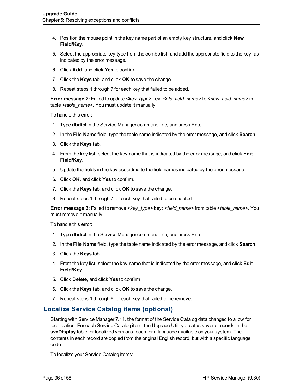- 4. Position the mouse point in the key name part of an empty key structure, and click **New Field/Key**.
- 5. Select the appropriate key type from the combo list, and add the appropriate field to the key, as indicated by the error message.
- 6. Click **Add**, and click **Yes** to confirm.
- 7. Click the **Keys** tab, and click **OK** to save the change.
- 8. Repeat steps 1 through 7 for each key that failed to be added.

**Error message** 2: Failed to update *<key\_type>* key: *<old\_field\_name>* to *<new\_field\_name>* in table *<table\_name>*. You must update it manually.

To handle this error:

- 1. Type **dbdict** in the Service Manager command line, and press Enter.
- 2. In the **File Name** field, type the table name indicated by the error message, and click **Search**.
- 3. Click the **Keys** tab.
- 4. From the key list, select the key name that is indicated by the error message, and click **Edit Field/Key**.
- 5. Update the fields in the key according to the field names indicated by the error message.
- 6. Click **OK**, and click **Yes** to confirm.
- 7. Click the **Keys** tab, and click **OK** to save the change.
- 8. Repeat steps 1 through 7 for each key that failed to be updated.

**Error message 3:** Failed to remove *<key\_type>* key: *<field\_name>* from table *<table\_name>*. You must remove it manually.

To handle this error:

- 1. Type **dbdict** in the Service Manager command line, and press Enter.
- 2. In the **File Name** field, type the table name indicated by the error message, and click **Search**.
- 3. Click the **Keys** tab.
- 4. From the key list, select the key name that is indicated by the error message, and click **Edit Field/Key**.
- 5. Click **Delete**, and click **Yes** to confirm.
- 6. Click the **Keys** tab, and click **OK** to save the change.
- 7. Repeat steps 1 through 6 for each key that failed to be removed.

### <span id="page-35-0"></span>**Localize Service Catalog items (optional)**

Starting with Service Manager 7.11, the format of the Service Catalog data changed to allow for localization. For each Service Catalog item, the Upgrade Utility creates several records in the **svcDisplay** table for localized versions, each for a language available on your system. The contents in each record are copied from the original English record, but with a specific language code.

To localize your Service Catalog items: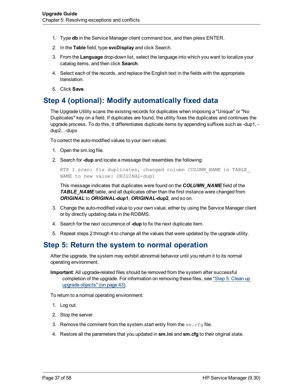- 1. Type **db** in the Service Manager client command box, and then press ENTER.
- 2. In the **Table** field, type **svcDisplay** and click Search.
- 3. From the **Language** drop-down list, select the language into which you want to localize your catalog items, and then click **Search**.
- 4. Select each of the records, and replace the English text in the fields with the appropriate translation.
- 5. Click **Save**.

## <span id="page-36-0"></span>**Step 4 (optional): Modify automatically fixed data**

The Upgrade Utility scans the existing records for duplicates when imposing a "Unique" or "No Duplicates" key on a field. If duplicates are found, the utility fixes the duplicates and continues the upgrade process. To do this, it differentiates duplicate items by appending suffixes such as -dup1, dup2...-dup*x*.

To correct the auto-modified values to your own values:

- 1. Open the sm.log file.
- 2. Search for **-dup** and locate a message that resembles the following:

```
RTE I scan: fix duplicates, changed column COLUMN_NAME in TABLE_
NAME to new value: ORIGINAL-dup1
```
This message indicates that duplicates were found on the *COLUMN\_NAME* field of the *TABLE\_NAME* table, and all duplicates other than the first instance were changed from *ORIGINAL* to *ORIGINAL***-dup1**, *ORIGINAL***-dup2**, and so on.

- 3. Change the auto-modified value to your own value, either by using the Service Manager client or by directly updating data in the RDBMS.
- 4. Search for the next occurrence of **-dup** to fix the next duplicate item.
- <span id="page-36-1"></span>5. Repeat steps 2 through 4 to change all the values that were updated by the upgrade utility.

### **Step 5: Return the system to normal operation**

After the upgrade, the system may exhibit abnormal behavior until you return it to its normal operating environment.

**Important**: All upgrade-related files should be removed from the system after successful completion of the upgrade. For information on removing these files, see ["Step](#page-42-0) [5:](#page-42-0) [Clean](#page-42-0) [up](#page-42-0) [upgrade](#page-42-0) [objects"](#page-42-0) [\(on](#page-42-0) [page](#page-42-0) [43\).](#page-42-0)

To return to a normal operating environment:

- 1. Log out.
- 2. Stop the server.
- 3. Remove the comment from the system start entry from the  $sm.cfq$  file.
- 4. Restore all the parameters that you updated in **sm.ini** and **sm.cfg** to their original state.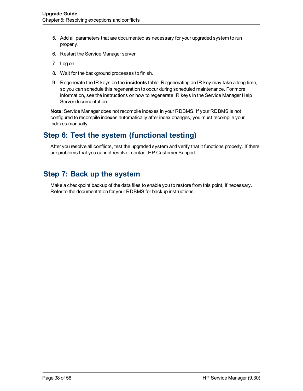- 5. Add all parameters that are documented as necessary for your upgraded system to run properly.
- 6. Restart the Service Manager server.
- 7. Log on.
- 8. Wait for the background processes to finish.
- 9. Regenerate the IR keys on the **incidents** table. Regenerating an IR key may take a long time, so you can schedule this regeneration to occur during scheduled maintenance. For more information, see the instructions on how to regenerate IR keys in the Service Manager Help Server documentation.

**Note:** Service Manager does not recompile indexes in your RDBMS. If your RDBMS is not configured to recompile indexes automatically after index changes, you must recompile your indexes manually.

## <span id="page-37-0"></span>**Step 6: Test the system (functional testing)**

After you resolve all conflicts, test the upgraded system and verify that it functions properly. If there are problems that you cannot resolve, contact HP Customer Support.

### <span id="page-37-1"></span>**Step 7: Back up the system**

Make a checkpoint backup of the data files to enable you to restore from this point, if necessary. Refer to the documentation for your RDBMS for backup instructions.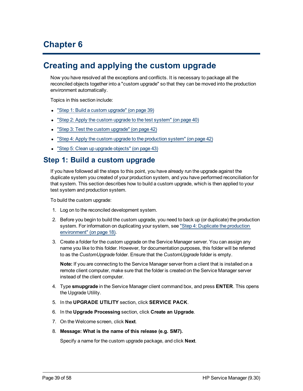# **Chapter 6**

# <span id="page-38-0"></span>**Creating and applying the custom upgrade**

Now you have resolved all the exceptions and conflicts. It is necessary to package all the reconciled objects together into a "custom upgrade" so that they can be moved into the production environment automatically.

Topics in this section include:

- ["Step](#page-38-1) [1:](#page-38-1) [Build](#page-38-1) [a](#page-38-1) [custom](#page-38-1) [upgrade"](#page-38-1) [\(on](#page-38-1) [page](#page-38-1) [39\)](#page-38-1)
- ["Step](#page-39-0) [2:](#page-39-0) [Apply](#page-39-0) [the](#page-39-0) [custom](#page-39-0) [upgrade](#page-39-0) [to](#page-39-0) the [test](#page-39-0) [system"](#page-39-0) [\(on](#page-39-0) [page](#page-39-0) [40\)](#page-39-0)
- ["Step](#page-41-0) [3:](#page-41-0) [Test](#page-41-0) [the](#page-41-0) [custom](#page-41-0) [upgrade"](#page-41-0) [\(on](#page-41-0) [page](#page-41-0) [42\)](#page-41-0)
- ["Step](#page-41-1) [4:](#page-41-1) [Apply](#page-41-1) [the](#page-41-1) [custom](#page-41-1) [upgrade](#page-41-1) [to](#page-41-1) the [production](#page-41-1) [system"](#page-41-1) [\(on](#page-41-1) [page](#page-41-1) [42\)](#page-41-1)
- <span id="page-38-1"></span>• ["Step](#page-42-0) [5:](#page-42-0) [Clean](#page-42-0) [up](#page-42-0) [upgrade](#page-42-0) [objects"](#page-42-0) [\(on](#page-42-0) [page](#page-42-0) [43\)](#page-42-0)

### **Step 1: Build a custom upgrade**

If you have followed all the steps to this point, you have already run the upgrade against the duplicate system you created of your production system, and you have performed reconciliation for that system. This section describes how to build a custom upgrade, which is then applied to your test system and production system.

To build the custom upgrade:

- 1. Log on to the reconciled development system.
- 2. Before you begin to build the custom upgrade, you need to back up (or duplicate) the production system. For information on duplicating your system, see ["Step](#page-17-2) [4:](#page-17-2) [Duplicate](#page-17-2) [the](#page-17-2) [production](#page-17-2) [environment"](#page-17-2) [\(on](#page-17-2) [page](#page-17-2) [18\)](#page-17-2).
- 3. Create a folder for the custom upgrade on the Service Manager server. You can assign any name you like to this folder. However, for documentation purposes, this folder will be referred to as the *CustomUpgrade* folder. Ensure that the *CustomUpgrade* folder is empty.

**Note:** If you are connecting to the Service Manager server from a client that is installed on a remote client computer, make sure that the folder is created on the Service Manager server instead of the client computer.

- 4. Type **smupgrade** in the Service Manager client command box, and press **ENTER**. This opens the Upgrade Utility.
- 5. In the **UPGRADE UTILITY** section, click **SERVICE PACK**.
- 6. In the **Upgrade Processing** section, click **Create an Upgrade**.
- 7. On the Welcome screen, click **Next**.
- 8. **Message: What is the name of this release (e.g. SM7).**

Specify a name for the custom upgrade package, and click **Next**.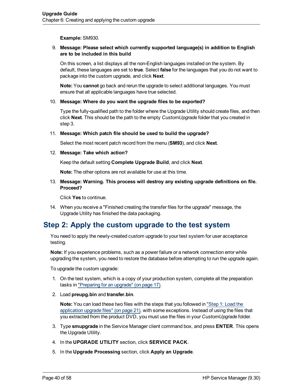**Example:** SM930.

#### 9. **Message: Please select which currently supported language(s) in addition to English are to be included in this build**

On this screen, a list displays all the non-English languages installed on the system. By default, these languages are set to **true**. Select **false** for the languages that you do not want to package into the custom upgrade, and click **Next**.

**Note:** You **cannot** go back and rerun the upgrade to select additional languages. You must ensure that all applicable languages have true selected.

#### 10. **Message: Where do you want the upgrade files to be exported?**

Type the fully-qualified path to the folder where the Upgrade Utility should create files, and then click **Next**. This should be the path to the empty *CustomUpgrade* folder that you created in step 3.

#### 11. **Message: Which patch file should be used to build the upgrade?**

Select the most recent patch record from the menu (**SM93**), and click **Next**.

#### 12. **Message: Take which action?**

Keep the default setting **Complete Upgrade Build**, and click **Next**.

**Note:** The other options are not available for use at this time.

#### 13. **Message: Warning. This process will destroy any existing upgrade definitions on file. Proceed?**

Click **Yes** to continue.

14. When you receive a "Finished creating the transfer files for the upgrade" message, the Upgrade Utility has finished the data packaging.

## <span id="page-39-0"></span>**Step 2: Apply the custom upgrade to the test system**

<span id="page-39-1"></span>You need to apply the newly-created custom upgrade to your test system for user acceptance testing.

**Note:** If you experience problems, such as a power failure or a network connection error while upgrading the system, you need to restore the database before attempting to run the upgrade again.

To upgrade the custom upgrade:

- 1. On the test system, which is a copy of your production system, complete all the preparation tasks in ["Preparing](#page-16-0) [for](#page-16-0) [an](#page-16-0) [upgrade"](#page-16-0) [\(on](#page-16-0) [page](#page-16-0) [17\)](#page-16-0).
- <span id="page-39-2"></span>2. Load **preupg.bin** and **transfer.bin**.

**Note:** You can load these two files with the steps that you followed in ["Step](#page-20-1) [1:](#page-20-1) [Load](#page-20-1) [the](#page-20-1) [application](#page-20-1) [upgrade](#page-20-1) [files"](#page-20-1) [\(on](#page-20-1) [page](#page-20-1) [21\),](#page-20-1) with some exceptions. Instead of using the files that you extracted from the product DVD, you must use the files in your *CustomUpgrade* folder.

- 3. Type **smupgrade** in the Service Manager client command box, and press **ENTER**. This opens the Upgrade Utility.
- 4. In the **UPGRADE UTILITY** section, click **SERVICE PACK**.
- 5. In the **Upgrade Processing** section, click **Apply an Upgrade**.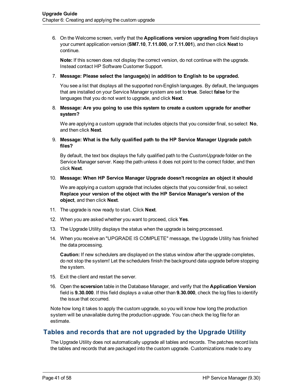6. On the Welcome screen, verify that the **Applications version upgrading from** field displays your current application version (**SM7.10**, **7.11.000**, or **7.11.001**), and then click **Next** to continue.

**Note:** If this screen does not display the correct version, do not continue with the upgrade. Instead contact HP Software Customer Support.

#### 7. **Message: Please select the language(s) in addition to English to be upgraded.**

You see a list that displays all the supported non-English languages. By default, the languages that are installed on your Service Manager system are set to **true**. Select **false** for the languages that you do not want to upgrade, and click **Next**.

#### 8. **Message: Are you going to use this system to create a custom upgrade for another system?**

We are applying a custom upgrade that includes objects that you consider final, so select **No**, and then click **Next**.

#### 9. **Message: What is the fully qualified path to the HP Service Manager Upgrade patch files?**

By default, the text box displays the fully qualified path to the *CustomUpgrade* folder on the Service Manager server. Keep the path unless it does not point to the correct folder, and then click **Next**.

#### 10. **Message: When HP Service Manager Upgrade doesn't recognize an object it should**

We are applying a custom upgrade that includes objects that you consider final, so select **Replace your version of the object with the HP Service Manager's version of the object**, and then click **Next**.

- 11. The upgrade is now ready to start. Click **Next**.
- 12. When you are asked whether you want to proceed, click **Yes**.
- 13. The Upgrade Utility displays the status when the upgrade is being processed.
- 14. When you receive an "UPGRADE IS COMPLETE" message, the Upgrade Utility has finished the data processing.

**Caution:** If new schedulers are displayed on the status window after the upgrade completes, do not stop the system! Let the schedulers finish the background data upgrade before stopping the system.

- 15. Exit the client and restart the server.
- 16. Open the **scversion** table in the Database Manager, and verify that the **Application Version** field is **9.30.000**. If this field displays a value other than **9.30.000**, check the log files to identify the issue that occurred.

Note how long it takes to apply the custom upgrade, so you will know how long the production system will be unavailable during the production upgrade. You can check the log file for an estimate.

### <span id="page-40-0"></span>**Tables and records that are not upgraded by the Upgrade Utility**

The Upgrade Utility does not automatically upgrade all tables and records. The patches record lists the tables and records that are packaged into the custom upgrade. Customizations made to any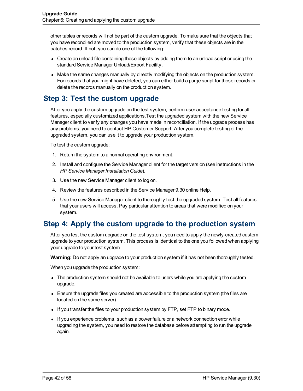other tables or records will not be part of the custom upgrade. To make sure that the objects that you have reconciled are moved to the production system, verify that these objects are in the patches record. If not, you can do one of the following:

- Create an unload file containing those objects by adding them to an unload script or using the standard Service Manager Unload/Export Facility,
- Make the same changes manually by directly modifying the objects on the production system. For records that you might have deleted, you can either build a purge script for those records or delete the records manually on the production system.

## <span id="page-41-0"></span>**Step 3: Test the custom upgrade**

After you apply the custom upgrade on the test system, perform user acceptance testing for all features, especially customized applications.Test the upgraded system with the new Service Manager client to verify any changes you have made in reconciliation. If the upgrade process has any problems, you need to contact HP Customer Support. After you complete testing of the upgraded system, you can use it to upgrade your production system.

To test the custom upgrade:

- 1. Return the system to a normal operating environment.
- 2. Install and configure the Service Manager client for the target version (see instructions in the *HP Service Manager Installation Guide*).
- 3. Use the new Service Manager client to log on.
- 4. Review the features described in the Service Manager 9.30 online Help.
- 5. Use the new Service Manager client to thoroughly test the upgraded system. Test all features that your users will access. Pay particular attention to areas that were modified on your system.

## <span id="page-41-1"></span>**Step 4: Apply the custom upgrade to the production system**

<span id="page-41-2"></span>After you test the custom upgrade on the test system, you need to apply the newly-created custom upgrade to your production system. This process is identical to the one you followed when applying your upgrade to your test system.

**Warning:** Do not apply an upgrade to your production system if it has not been thoroughly tested.

When you upgrade the production system:

- The production system should not be available to users while you are applying the custom upgrade.
- Ensure the upgrade files you created are accessible to the production system (the files are located on the same server).
- If you transfer the files to your production system by FTP, set FTP to binary mode.
- If you experience problems, such as a power failure or a network connection error while upgrading the system, you need to restore the database before attempting to run the upgrade again.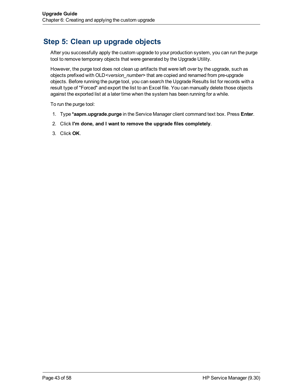# <span id="page-42-0"></span>**Step 5: Clean up upgrade objects**

After you successfully apply the custom upgrade to your production system, you can run the purge tool to remove temporary objects that were generated by the Upgrade Utility.

However, the purge tool does not clean up artifacts that were left over by the upgrade, such as objects prefixed with OLD*<version\_number>* that are copied and renamed from pre-upgrade objects. Before running the purge tool, you can search the Upgrade Results list for records with a result type of "Forced" and export the list to an Excel file. You can manually delete those objects against the exported list at a later time when the system has been running for a while.

To run the purge tool:

- <span id="page-42-1"></span>1. Type **\*aapm.upgrade.purge** in the Service Manager client command text box. Press **Enter**.
- 2. Click **I'm done, and I want to remove the upgrade files completely**.
- 3. Click **OK**.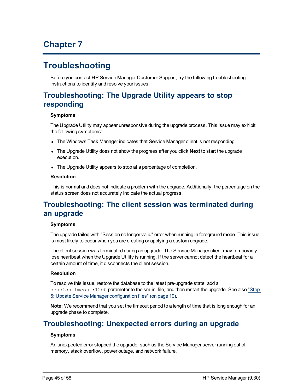# **Chapter 7**

# <span id="page-44-0"></span>**Troubleshooting**

Before you contact HP Service Manager Customer Support, try the following troubleshooting instructions to identify and resolve your issues.

# <span id="page-44-1"></span>**Troubleshooting: The Upgrade Utility appears to stop responding**

#### **Symptoms**

The Upgrade Utility may appear unresponsive during the upgrade process. This issue may exhibit the following symptoms:

- The Windows Task Manager indicates that Service Manager client is not responding.
- The Upgrade Utility does not show the progress after you click **Next** to start the upgrade execution.
- The Upgrade Utility appears to stop at a percentage of completion.

#### **Resolution**

This is normal and does not indicate a problem with the upgrade. Additionally, the percentage on the status screen does not accurately indicate the actual progress.

## <span id="page-44-2"></span>**Troubleshooting: The client session was terminated during an upgrade**

#### **Symptoms**

The upgrade failed with "Session no longer valid" error when running in foreground mode. This issue is most likely to occur when you are creating or applying a custom upgrade.

The client session was terminated during an upgrade. The Service Manager client may temporarily lose heartbeat when the Upgrade Utility is running. If the server cannot detect the heartbeat for a certain amount of time, it disconnects the client session.

#### **Resolution**

To resolve this issue, restore the database to the latest pre-upgrade state, add a sessiontimeout: 1200 parameter to the sm.ini file, and then restart the upgrade. See also ["Step](#page-18-0) [5:](#page-18-0) [Update](#page-18-0) [Service](#page-18-0) [Manager](#page-18-0) [configuration](#page-18-0) [files"](#page-18-0) [\(on](#page-18-0) [page](#page-18-0) [19\).](#page-18-0)

**Note:** We recommend that you set the timeout period to a length of time that is long enough for an upgrade phase to complete.

## <span id="page-44-3"></span>**Troubleshooting: Unexpected errors during an upgrade**

#### **Symptoms**

An unexpected error stopped the upgrade, such as the Service Manager server running out of memory, stack overflow, power outage, and network failure.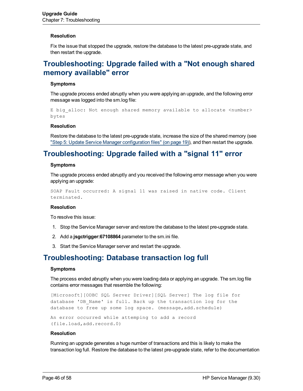#### **Resolution**

<span id="page-45-0"></span>Fix the issue that stopped the upgrade, restore the database to the latest pre-upgrade state, and then restart the upgrade.

### **Troubleshooting: Upgrade failed with a "Not enough shared memory available" error**

#### **Symptoms**

The upgrade process ended abruptly when you were applying an upgrade, and the following error message was logged into the sm.log file:

E big alloc: Not enough shared memory available to allocate <number> bytes

#### **Resolution**

Restore the database to the latest pre-upgrade state, increase the size of the shared memory (see ["Step](#page-18-0) [5:](#page-18-0) [Update](#page-18-0) [Service](#page-18-0) [Manager](#page-18-0) [configuration](#page-18-0) [files"](#page-18-0) [\(on](#page-18-0) [page](#page-18-0) [19\)\)](#page-18-0), and then restart the upgrade.

## <span id="page-45-1"></span>**Troubleshooting: Upgrade failed with a "signal 11" error**

#### **Symptoms**

The upgrade process ended abruptly and you received the following error message when you were applying an upgrade:

SOAP Fault occurred: A signal 11 was raised in native code. Client terminated.

#### **Resolution**

To resolve this issue:

- 1. Stop the Service Manager server and restore the database to the latest pre-upgrade state.
- 2. Add a **jsgctrigger:67108864** parameter to the sm.ini file.
- <span id="page-45-2"></span>3. Start the Service Manager server and restart the upgrade.

### **Troubleshooting: Database transaction log full**

#### **Symptoms**

The process ended abruptly when you were loading data or applying an upgrade. The sm.log file contains error messages that resemble the following:

[Microsoft][ODBC SQL Server Driver][SQL Server] The log file for database 'DB\_Name' is full. Back up the transaction log for the database to free up some log space. (message,add.schedule)

```
An error occurred while attemping to add a record
(file.load,add.record.0)
```
#### **Resolution**

Running an upgrade generates a huge number of transactions and this is likely to make the transaction log full. Restore the database to the latest pre-upgrade state, refer to the documentation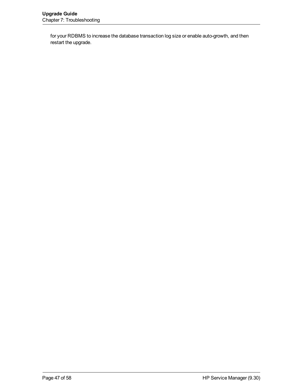for your RDBMS to increase the database transaction log size or enable auto-growth, and then restart the upgrade.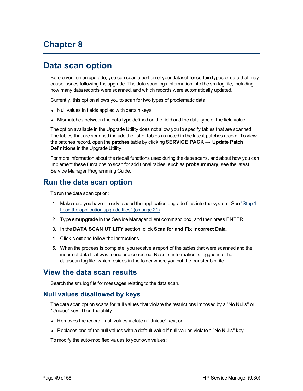# **Chapter 8**

# <span id="page-48-0"></span>**Data scan option**

Before you run an upgrade, you can scan a portion of your dataset for certain types of data that may cause issues following the upgrade. The data scan logs information into the sm.log file, including how many data records were scanned, and which records were automatically updated.

Currently, this option allows you to scan for two types of problematic data:

- Null values in fields applied with certain keys
- Mismatches between the data type defined on the field and the data type of the field value

The option available in the Upgrade Utility does not allow you to specify tables that are scanned. The tables that are scanned include the list of tables as noted in the latest patches record. To view the patches record, open the **patches** table by clicking **SERVICE PACK** → **Update Patch Definitions** in the Upgrade Utility.

For more information about the rtecall functions used during the data scans, and about how you can implement these functions to scan for additional tables, such as **probsummary**, see the latest Service Manager Programming Guide.

### <span id="page-48-1"></span>**Run the data scan option**

To run the data scan option:

- 1. Make sure you have already loaded the application upgrade files into the system. See ["Step](#page-20-1) [1:](#page-20-1) [Load](#page-20-1) [the](#page-20-1) [application](#page-20-1) [upgrade](#page-20-1) [files"](#page-20-1) [\(on](#page-20-1) [page](#page-20-1) [21\)](#page-20-1).
- 2. Type **smupgrade** in the Service Manager client command box, and then press ENTER.
- 3. In the **DATA SCAN UTILITY** section, click **Scan for and Fix Incorrect Data**.
- 4. Click **Next** and follow the instructions.
- 5. When the process is complete, you receive a report of the tables that were scanned and the incorrect data that was found and corrected. Results information is logged into the datascan.log file, which resides in the folder where you put the transfer.bin file.

### <span id="page-48-2"></span>**View the data scan results**

<span id="page-48-3"></span>Search the sm.log file for messages relating to the data scan.

#### **Null values disallowed by keys**

The data scan option scans for null values that violate the restrictions imposed by a "No Nulls" or "Unique" key. Then the utility:

- Removes the record if null values violate a "Unique" key, or
- Replaces one of the null values with a default value if null values violate a "No Nulls" key.

To modify the auto-modified values to your own values: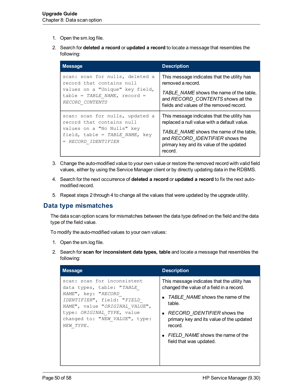- 1. Open the sm.log file.
- 2. Search for **deleted a record** or **updated a record** to locate a message that resembles the following:

| <b>Message</b>                                                                      | <b>Description</b>                                                                                                                |
|-------------------------------------------------------------------------------------|-----------------------------------------------------------------------------------------------------------------------------------|
| scan: scan for nulls, deleted a                                                     | This message indicates that the utility has                                                                                       |
| record that contains null                                                           | removed a record.                                                                                                                 |
| values on a "Unique" key field,                                                     | TABLE NAME shows the name of the table,                                                                                           |
| $table = TABLE NAME, record =$                                                      | and RECORD CONTENTS shows all the                                                                                                 |
| RECORD CONTENTS                                                                     | fields and values of the removed record.                                                                                          |
| scan: scan for nulls, updated a                                                     | This message indicates that the utility has                                                                                       |
| record that contains null                                                           | replaced a null value with a default value.                                                                                       |
| values on a "No Nulls" key<br>field, table = TABLE NAME, key<br>= RECORD IDENTIFIER | TABLE NAME shows the name of the table,<br>and RECORD IDENTIFIER shows the<br>primary key and its value of the updated<br>record. |

- 3. Change the auto-modified value to your own value or restore the removed record with valid field values, either by using the Service Manager client or by directly updating data in the RDBMS.
- 4. Search for the next occurrence of **deleted a record** or **updated a record** to fix the next automodified record.
- 5. Repeat steps 2 through 4 to change all the values that were updated by the upgrade utility.

### <span id="page-49-0"></span>**Data type mismatches**

The data scan option scans for mismatches between the data type defined on the field and the data type of the field value.

To modify the auto-modified values to your own values:

- 1. Open the sm.log file.
- 2. Search for **scan for inconsistent data types, table** and locate a message that resembles the following:

| <b>Message</b>                                                                                                                                                                                                               | <b>Description</b>                                                                                                                                                                                                                                                                              |
|------------------------------------------------------------------------------------------------------------------------------------------------------------------------------------------------------------------------------|-------------------------------------------------------------------------------------------------------------------------------------------------------------------------------------------------------------------------------------------------------------------------------------------------|
| scan: scan for inconsistent<br>data types, table: "TABLE<br>NAME", key: "RECORD<br>IDENTIFIER", field: "FIELD<br>NAME", value "ORIGINAL VALUE",<br>type: ORIGINAL TYPE, value<br>changed to: "NEW VALUE", type:<br>NEW TYPE. | This message indicates that the utility has<br>changed the value of a field in a record.<br>• TABLE NAME shows the name of the<br>table.<br>RECORD_IDENTIFIER shows the<br>primary key and its value of the updated<br>record.<br>• FIELD NAME shows the name of the<br>field that was updated. |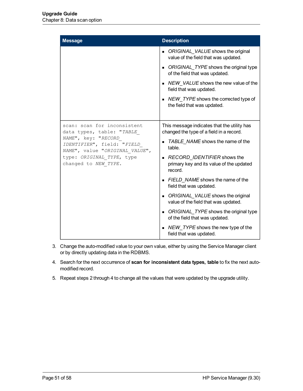| <b>Message</b>                                                                                                                           | <b>Description</b>                                                                      |
|------------------------------------------------------------------------------------------------------------------------------------------|-----------------------------------------------------------------------------------------|
|                                                                                                                                          | • ORIGINAL VALUE shows the original<br>value of the field that was updated.             |
|                                                                                                                                          | • ORIGINAL TYPE shows the original type<br>of the field that was updated.               |
|                                                                                                                                          | • NEW VALUE shows the new value of the<br>field that was updated.                       |
|                                                                                                                                          | $\blacksquare$ NEW TYPE shows the corrected type of<br>the field that was updated.      |
| scan: scan for inconsistent<br>data types, table: "TABLE                                                                                 | This message indicates that the utility has<br>changed the type of a field in a record. |
| NAME", key: "RECORD<br>IDENTIFIER", field: "FIELD<br>NAME", value "ORIGINAL VALUE",<br>type: ORIGINAL TYPE, type<br>changed to NEW TYPE. | TABLE NAME shows the name of the<br>table.                                              |
|                                                                                                                                          | RECORD IDENTIFIER shows the<br>primary key and its value of the updated<br>record.      |
|                                                                                                                                          | • FIELD NAME shows the name of the<br>field that was updated.                           |
|                                                                                                                                          | • ORIGINAL VALUE shows the original<br>value of the field that was updated.             |
|                                                                                                                                          | • ORIGINAL TYPE shows the original type<br>of the field that was updated.               |
|                                                                                                                                          | NEW TYPE shows the new type of the<br>$\blacksquare$<br>field that was updated.         |

- 3. Change the auto-modified value to your own value, either by using the Service Manager client or by directly updating data in the RDBMS.
- 4. Search for the next occurrence of **scan for inconsistent data types, table** to fix the next automodified record.
- 5. Repeat steps 2 through 4 to change all the values that were updated by the upgrade utility.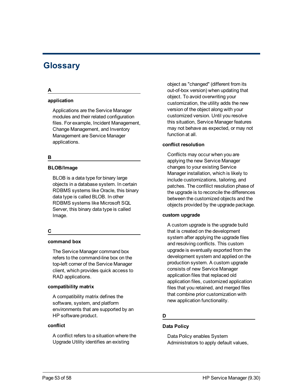# <span id="page-52-0"></span>**Glossary**

#### **A**

#### **application**

Applications are the Service Manager modules and their related configuration files. For example, Incident Management, Change Management, and Inventory Management are Service Manager applications.

#### **B**

#### **BLOB/Image**

BLOB is a data type for binary large objects in a database system. In certain RDBMS systems like Oracle, this binary data type is called BLOB. In other RDBMS systems like Microsoft SQL Server, this binary data type is called Image.

#### **C**

#### **command box**

The Service Manager command box refers to the command-line box on the top-left corner of the Service Manager client, which provides quick access to RAD applications.

#### **compatibility matrix**

A compatibility matrix defines the software, system, and platform environments that are supported by an HP software product.

#### **conflict**

A conflict refers to a situation where the Upgrade Utility identifies an existing

object as "changed" (different from its out-of-box version) when updating that object. To avoid overwriting your customization, the utility adds the new version of the object along with your customized version. Until you resolve this situation, Service Manager features may not behave as expected, or may not function at all.

#### **conflict resolution**

Conflicts may occur when you are applying the new Service Manager changes to your existing Service Manager installation, which is likely to include customizations, tailoring, and patches. The confilict resolution phase of the upgrade is to reconcile the differences between the customized objects and the objects provided by the upgrade package.

#### **custom upgrade**

A custom upgrade is the upgrade build that is created on the development system after applying the upgrade files and resolving conflicts. This custom upgrade is eventually exported from the development system and applied on the production system. A custom upgrade consists of new Service Manager application files that replaced old application files, customized application files that you retained, and merged files that combine prior customization with new application functionality.

#### **D**

#### **Data Policy**

Data Policy enables System Administrators to apply default values,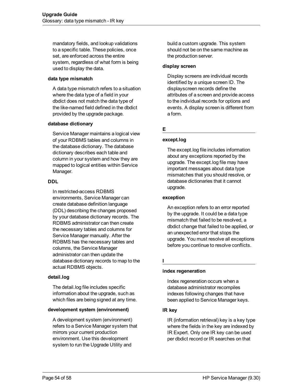mandatory fields, and lookup validations to a specific table. These policies, once set, are enforced across the entire system, regardless of what form is being used to display the data.

#### **data type mismatch**

A data type mismatch refers to a situation where the data type of a field in your dbdict does not match the data type of the like-named field defined in the dbdict provided by the upgrade package.

#### **database dictionary**

Service Manager maintains a logical view of your RDBMS tables and columns in the database dictionary. The database dictionary describes each table and column in your system and how they are mapped to logical entities within Service Manager.

#### **DDL**

In restricted-access RDBMS environments, Service Manager can create database definition language (DDL) describing the changes proposed by your database dictionary records. The RDBMS administrator can then create the necessary tables and columns for Service Manager manually. After the RDBMS has the necessary tables and columns, the Service Manager administrator can then update the database dictionary records to map to the actual RDBMS objects.

#### **detail.log**

The detail.log file includes specific information about the upgrade, such as which files are being signed at any time.

#### **development system (environment)**

A development system (environment) refers to a Service Manager system that mirrors your current production environment. Use this development system to run the Upgrade Utility and

build a custom upgrade. This system should not be on the same machine as the production server.

#### **display screen**

Display screens are individual records identified by a unique screen ID. The displayscreen records define the attributes of a screen and provide access to the individual records for options and events. A display screen is different from a form.

#### **E**

#### **except.log**

The except.log file includes information about any exceptions reported by the upgrade. The except.log file may have important messages about data type mismatches that you should resolve, or database dictionaries that it cannot upgrade.

#### **exception**

An exception refers to an error reported by the upgrade. It could be a data type mismatch that failed to be resolved, a dbdict change that failed to be applied, or an unexpected error that stops the upgrade. You must resolve all exceptions before you continue to resolve conflicts.

#### **index regeneration**

Index regeneration occurs when a database administrator recompiles indexes following changes that have been applied to Service Manager keys.

#### **IR key**

**I**

IR (information retrieval) key is a key type where the fields in the key are indexed by IR Expert. Only one IR key can be used per dbdict record or IR searches on that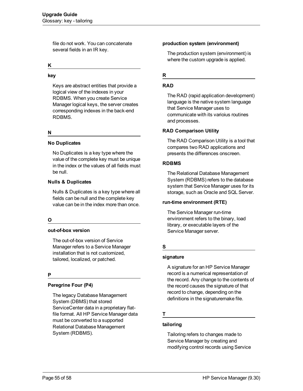file do not work. You can concatenate several fields in an IR key.

#### **K**

**key**

Keys are abstract entities that provide a logical view of the indexes in your RDBMS. When you create Service Manager logical keys, the server creates corresponding indexes in the back-end RDBMS.

#### **N**

#### **No Duplicates**

No Duplicates is a key type where the value of the complete key must be unique in the index or the values of all fields must be null.

#### **Nulls & Duplicates**

Nulls & Duplicates is a key type where all fields can be null and the complete key value can be in the index more than once.

#### **O**

#### **out-of-box version**

The out-of-box version of Service Manager refers to a Service Manager installation that is not customized, tailored, localized, or patched.

#### **P**

#### **Peregrine Four (P4)**

The legacy Database Management System (DBMS) that stored ServiceCenter data in a proprietary flatfile format. All HP Service Manager data must be converted to a supported Relational Database Management System (RDBMS).

#### **production system (environment)**

The production system (environment) is where the custom upgrade is applied.

#### **R**

#### **RAD**

The RAD (rapid application development) language is the native system language that Service Manager uses to communicate with its varioius routines and processes.

#### **RAD Comparison Utility**

The RAD Comparison Utility is a tool that compares two RAD applications and presents the differences onscreen.

#### **RDBMS**

The Relational Database Management System (RDBMS) refers to the database system that Service Manager uses for its storage, such as Oracle and SQL Server.

#### **run-time environment (RTE)**

The Service Manager run-time environment refers to the binary, load library, or executable layers of the Service Manager server.

#### **S**

#### **signature**

A signature for an HP Service Manager record is a numerical representation of the record. Any change to the contents of the record causes the signature of that record to change, depending on the definitions in the signaturemake file.

#### **T**

#### **tailoring**

Tailoring refers to changes made to Service Manager by creating and modifying control records using Service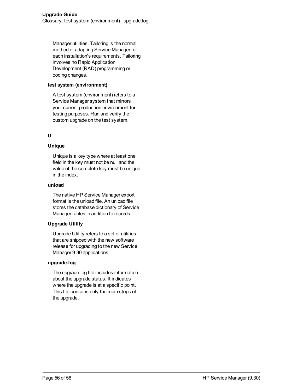Manager utilities. Tailoring is the normal method of adapting Service Manager to each installation's requirements. Tailoring involves no Rapid Application Development (RAD) programming or coding changes.

#### **test system (environment)**

A test system (environment) refers to a Service Manager system that mirrors your current production environment for testing purposes. Run and verify the custom upgrade on the test system.

#### **U**

#### **Unique**

Unique is a key type where at least one field in the key must not be null and the value of the complete key must be unique in the index.

#### **unload**

The native HP Service Manager export format is the unload file. An unload file stores the database dictionary of Service Manager tables in addition to records.

#### **Upgrade Utility**

Upgrade Utility refers to a set of utilities that are shipped with the new software release for upgrading to the new Service Manager 9.30 applications.

#### **upgrade.log**

The upgrade.log file includes information about the upgrade status. It indicates where the upgrade is at a specific point. This file contains only the main steps of the upgrade.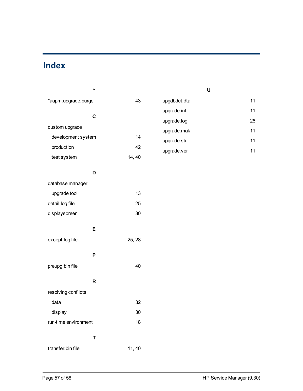# <span id="page-56-0"></span>**Index**

| *                    |        | U            |    |
|----------------------|--------|--------------|----|
| *aapm.upgrade.purge  | 43     | upgdbdct.dta | 11 |
|                      |        | upgrade.inf  | 11 |
| $\mathbf C$          |        | upgrade.log  | 26 |
| custom upgrade       |        | upgrade.mak  | 11 |
| development system   | 14     | upgrade.str  | 11 |
| production           | 42     | upgrade.ver  | 11 |
| test system          | 14, 40 |              |    |
| D                    |        |              |    |
| database manager     |        |              |    |
| upgrade tool         | 13     |              |    |
| detail.log file      | 25     |              |    |
| displayscreen        | 30     |              |    |
| E                    |        |              |    |
| except.log file      | 25, 28 |              |    |
| P                    |        |              |    |
| preupg.bin file      | 40     |              |    |
| $\mathsf{R}$         |        |              |    |
| resolving conflicts  |        |              |    |
| data                 | 32     |              |    |
| display              | 30     |              |    |
| run-time environment | 18     |              |    |
| $\mathsf T$          |        |              |    |
| transfer.bin file    | 11, 40 |              |    |